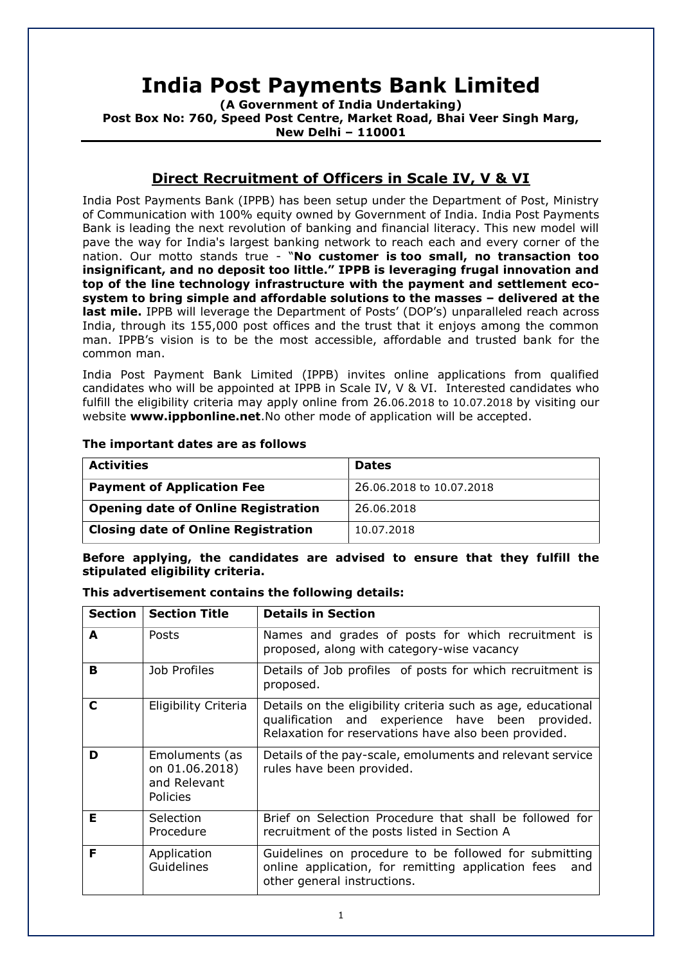# **India Post Payments Bank Limited**

**(A Government of India Undertaking) Post Box No: 760, Speed Post Centre, Market Road, Bhai Veer Singh Marg, New Delhi – 110001**

# **Direct Recruitment of Officers in Scale IV, V & VI**

India Post Payments Bank (IPPB) has been setup under the Department of Post, Ministry of Communication with 100% equity owned by Government of India. India Post Payments Bank is leading the next revolution of banking and financial literacy. This new model will pave the way for India's largest banking network to reach each and every corner of the nation. Our motto stands true - "**No customer is too small, no transaction too insignificant, and no deposit too little." IPPB is leveraging frugal innovation and top of the line technology infrastructure with the payment and settlement ecosystem to bring simple and affordable solutions to the masses – delivered at the last mile.** IPPB will leverage the Department of Posts' (DOP's) unparalleled reach across India, through its 155,000 post offices and the trust that it enjoys among the common man. IPPB's vision is to be the most accessible, affordable and trusted bank for the common man.

India Post Payment Bank Limited (IPPB) invites online applications from qualified candidates who will be appointed at IPPB in Scale IV, V & VI. Interested candidates who fulfill the eligibility criteria may apply online from 26.06.2018 to 10.07.2018 by visiting our website **www.ippbonline.net**.No other mode of application will be accepted.

### **The important dates are as follows**

| <b>Activities</b>                          | <b>Dates</b>             |
|--------------------------------------------|--------------------------|
| <b>Payment of Application Fee</b>          | 26.06.2018 to 10.07.2018 |
| <b>Opening date of Online Registration</b> | 26.06.2018               |
| <b>Closing date of Online Registration</b> | 10.07.2018               |

**Before applying, the candidates are advised to ensure that they fulfill the stipulated eligibility criteria.** 

#### **This advertisement contains the following details:**

| <b>Section</b> | <b>Section Title</b>                                                | <b>Details in Section</b>                                                                                                                                                |
|----------------|---------------------------------------------------------------------|--------------------------------------------------------------------------------------------------------------------------------------------------------------------------|
| A              | Posts                                                               | Names and grades of posts for which recruitment is<br>proposed, along with category-wise vacancy                                                                         |
| в              | Job Profiles                                                        | Details of Job profiles of posts for which recruitment is<br>proposed.                                                                                                   |
| C              | Eligibility Criteria                                                | Details on the eligibility criteria such as age, educational<br>qualification and experience have been provided.<br>Relaxation for reservations have also been provided. |
| D              | Emoluments (as<br>on 01.06.2018)<br>and Relevant<br><b>Policies</b> | Details of the pay-scale, emoluments and relevant service<br>rules have been provided.                                                                                   |
| E              | Selection<br>Procedure                                              | Brief on Selection Procedure that shall be followed for<br>recruitment of the posts listed in Section A                                                                  |
| F              | Application<br>Guidelines                                           | Guidelines on procedure to be followed for submitting<br>online application, for remitting application fees<br>and<br>other general instructions.                        |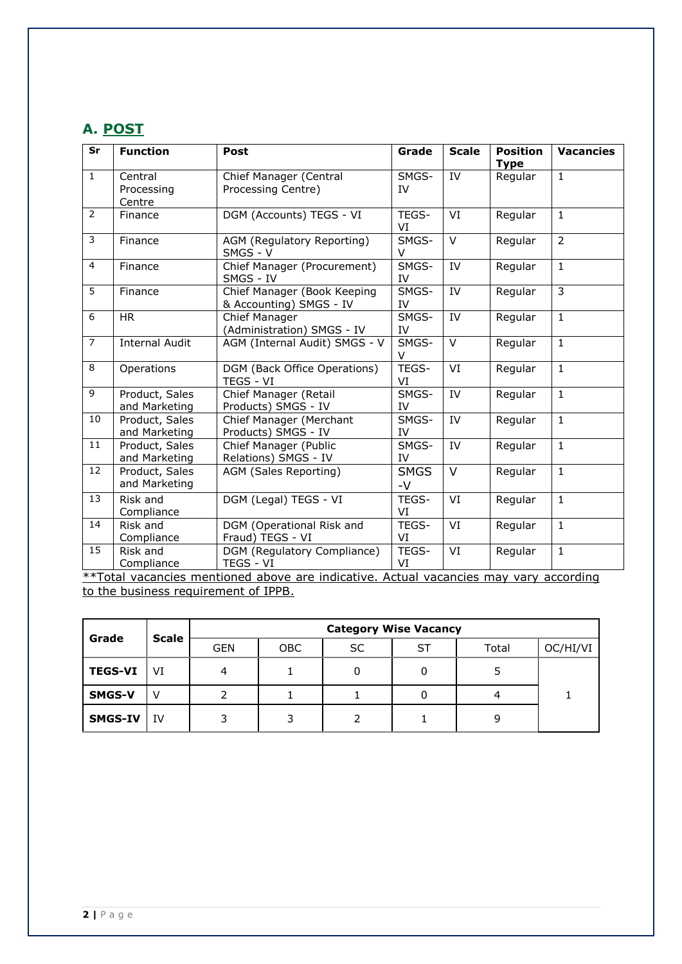# **A. POST**

| Sr              | <b>Function</b>                 | Post                                                   | Grade               | <b>Scale</b> | <b>Position</b><br><b>Type</b> | <b>Vacancies</b> |
|-----------------|---------------------------------|--------------------------------------------------------|---------------------|--------------|--------------------------------|------------------|
| $\mathbf{1}$    | Central<br>Processing<br>Centre | Chief Manager (Central<br>Processing Centre)           | SMGS-<br>IV         | IV           | Regular                        | $\mathbf{1}$     |
| 2               | Finance                         | DGM (Accounts) TEGS - VI                               | TEGS-<br>VI         | VI           | Regular                        | $\mathbf{1}$     |
| $\overline{3}$  | Finance                         | AGM (Regulatory Reporting)<br>SMGS - V                 | SMGS-<br>$\vee$     | V            | Regular                        | $\overline{2}$   |
| $\overline{4}$  | Finance                         | Chief Manager (Procurement)<br>SMGS - IV               | SMGS-<br>IV         | IV           | Regular                        | $\mathbf{1}$     |
| $\overline{5}$  | Finance                         | Chief Manager (Book Keeping<br>& Accounting) SMGS - IV | SMGS-<br>IV         | IV           | Regular                        | $\overline{3}$   |
| 6               | <b>HR</b>                       | Chief Manager<br>(Administration) SMGS - IV            | SMGS-<br>IV         | IV           | Regular                        | $\mathbf{1}$     |
| $\overline{7}$  | <b>Internal Audit</b>           | AGM (Internal Audit) SMGS - V                          | SMGS-<br>$\vee$     | V            | Regular                        | $\mathbf{1}$     |
| 8               | Operations                      | DGM (Back Office Operations)<br>TEGS - VI              | TEGS-<br>VI         | VI           | Regular                        | $\mathbf{1}$     |
| 9               | Product, Sales<br>and Marketing | Chief Manager (Retail<br>Products) SMGS - IV           | SMGS-<br>IV         | IV           | Regular                        | $\mathbf{1}$     |
| 10              | Product, Sales<br>and Marketing | Chief Manager (Merchant<br>Products) SMGS - IV         | SMGS-<br>IV         | IV           | Regular                        | $\mathbf{1}$     |
| 11              | Product, Sales<br>and Marketing | Chief Manager (Public<br>Relations) SMGS - IV          | SMGS-<br>IV         | IV           | Regular                        | $\mathbf{1}$     |
| 12              | Product, Sales<br>and Marketing | AGM (Sales Reporting)                                  | <b>SMGS</b><br>$-V$ | V            | Regular                        | $\mathbf{1}$     |
| $\overline{13}$ | Risk and<br>Compliance          | DGM (Legal) TEGS - VI                                  | TEGS-<br>VI         | VI           | Regular                        | $\overline{1}$   |
| 14              | Risk and<br>Compliance          | DGM (Operational Risk and<br>Fraud) TEGS - VI          | TEGS-<br>VI         | VI           | Regular                        | $\mathbf{1}$     |
| 15              | Risk and<br>Compliance          | DGM (Regulatory Compliance)<br>TEGS - VI               | TEGS-<br>VI         | VI           | Regular                        | $\mathbf{1}$     |

\*\*Total vacancies mentioned above are indicative. Actual vacancies may vary according to the business requirement of IPPB.

| Grade          | <b>Scale</b> | <b>Category Wise Vacancy</b> |            |     |    |       |          |  |  |  |
|----------------|--------------|------------------------------|------------|-----|----|-------|----------|--|--|--|
|                |              | <b>GEN</b>                   | <b>OBC</b> | SC. | ST | Total | OC/HI/VI |  |  |  |
| <b>TEGS-VI</b> | VI           | 4                            |            |     |    |       |          |  |  |  |
| SMGS-V         | V            |                              |            |     |    |       |          |  |  |  |
| <b>SMGS-IV</b> | IV           | 3                            |            |     |    | 9     |          |  |  |  |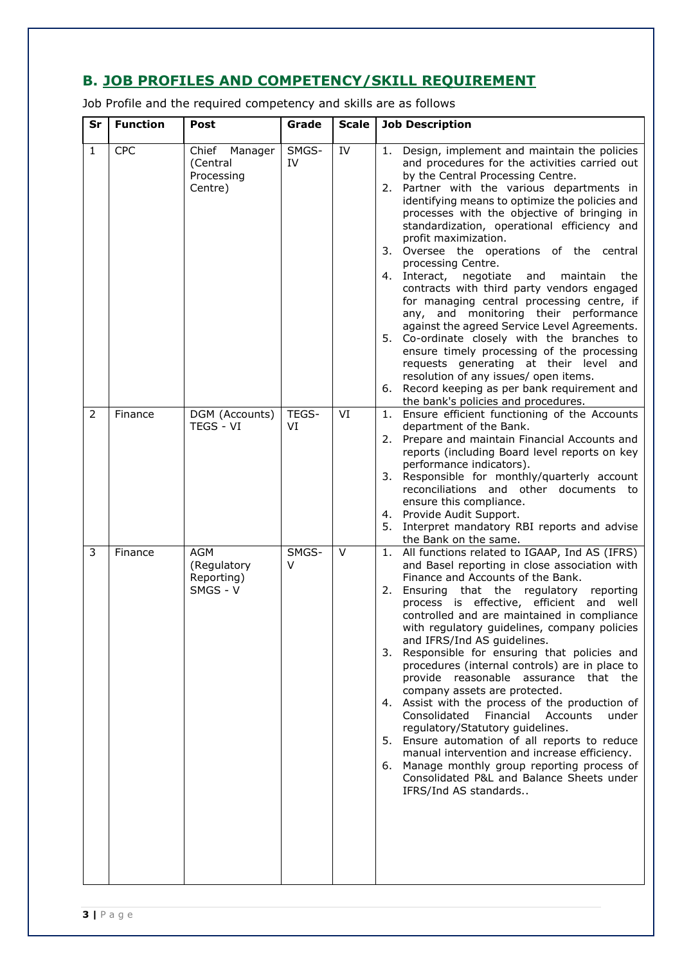# **B. JOB PROFILES AND COMPETENCY/SKILL REQUIREMENT**

Job Profile and the required competency and skills are as follows

| Sr           | <b>Function</b> | Post                                                | Grade           | <b>Scale</b> | <b>Job Description</b>                                                                                                                                                                                                                                                                                                                                                                                                                                                                                                                                                                                                                                                                                                                                                                                                                                                                                                                        |
|--------------|-----------------|-----------------------------------------------------|-----------------|--------------|-----------------------------------------------------------------------------------------------------------------------------------------------------------------------------------------------------------------------------------------------------------------------------------------------------------------------------------------------------------------------------------------------------------------------------------------------------------------------------------------------------------------------------------------------------------------------------------------------------------------------------------------------------------------------------------------------------------------------------------------------------------------------------------------------------------------------------------------------------------------------------------------------------------------------------------------------|
| $\mathbf{1}$ | <b>CPC</b>      | Chief Manager<br>(Central<br>Processing<br>Centre)  | SMGS-<br>IV     | IV           | Design, implement and maintain the policies<br>1.<br>and procedures for the activities carried out<br>by the Central Processing Centre.<br>2. Partner with the various departments in<br>identifying means to optimize the policies and<br>processes with the objective of bringing in<br>standardization, operational efficiency and<br>profit maximization.<br>3. Oversee the operations of the central<br>processing Centre.<br>4. Interact, negotiate and<br>maintain<br>the<br>contracts with third party vendors engaged<br>for managing central processing centre, if<br>any, and monitoring their performance<br>against the agreed Service Level Agreements.<br>5. Co-ordinate closely with the branches to<br>ensure timely processing of the processing<br>requests generating at their level and<br>resolution of any issues/ open items.<br>6. Record keeping as per bank requirement and<br>the bank's policies and procedures. |
| 2            | Finance         | DGM (Accounts)<br>TEGS - VI                         | TEGS-<br>VI     | VI           | 1. Ensure efficient functioning of the Accounts<br>department of the Bank.<br>Prepare and maintain Financial Accounts and<br>2.<br>reports (including Board level reports on key<br>performance indicators).<br>Responsible for monthly/quarterly account<br>3.<br>reconciliations and other documents to<br>ensure this compliance.<br>4. Provide Audit Support.<br>Interpret mandatory RBI reports and advise<br>5.<br>the Bank on the same.                                                                                                                                                                                                                                                                                                                                                                                                                                                                                                |
| 3            | Finance         | <b>AGM</b><br>(Regulatory<br>Reporting)<br>SMGS - V | SMGS-<br>$\vee$ | $\vee$       | 1. All functions related to IGAAP, Ind AS (IFRS)<br>and Basel reporting in close association with<br>Finance and Accounts of the Bank.<br>Ensuring that the regulatory<br>reporting<br>2.<br>process is effective, efficient and well<br>controlled and are maintained in compliance<br>with regulatory guidelines, company policies<br>and IFRS/Ind AS guidelines.<br>Responsible for ensuring that policies and<br>3.<br>procedures (internal controls) are in place to<br>provide reasonable assurance that the<br>company assets are protected.<br>4. Assist with the process of the production of<br>Financial Accounts<br>Consolidated<br>under<br>regulatory/Statutory guidelines.<br>5. Ensure automation of all reports to reduce<br>manual intervention and increase efficiency.<br>6. Manage monthly group reporting process of<br>Consolidated P&L and Balance Sheets under<br>IFRS/Ind AS standards                              |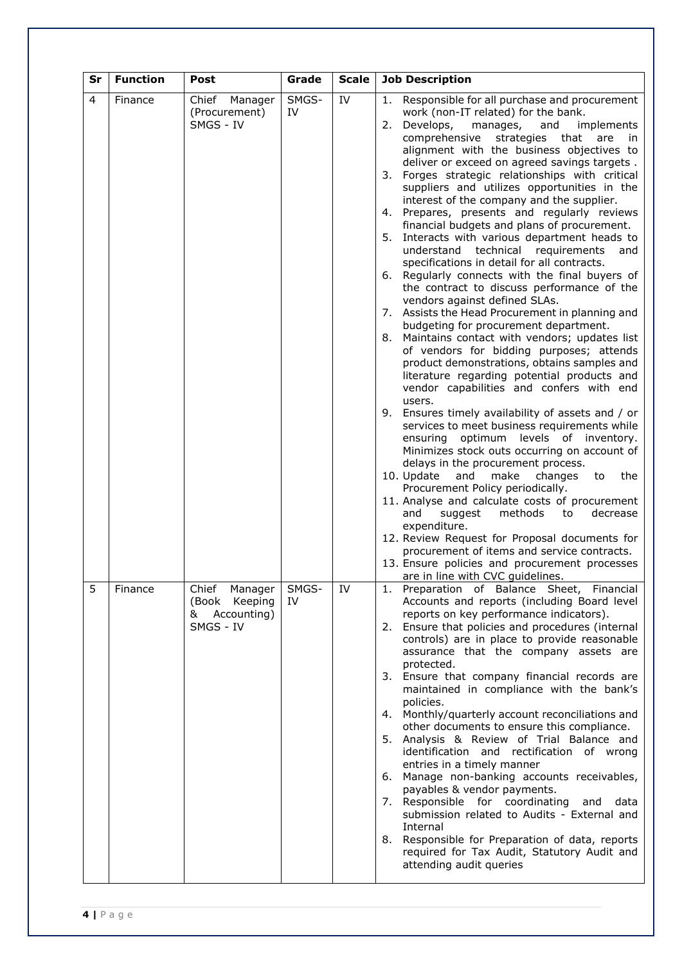| Sr | <b>Function</b> | Post                                                               | Grade       | <b>Scale</b> | <b>Job Description</b>                                                                                                                                                                                                                                                                                                                                                                                                                                                                                                                                                                                                                                                                                                                                                                                                                                                                                                                                                                                                                                                                                                                                                                                                                                                                                                                                                                                                                                                                                                                                                                                                                                                                                                                                                                                   |
|----|-----------------|--------------------------------------------------------------------|-------------|--------------|----------------------------------------------------------------------------------------------------------------------------------------------------------------------------------------------------------------------------------------------------------------------------------------------------------------------------------------------------------------------------------------------------------------------------------------------------------------------------------------------------------------------------------------------------------------------------------------------------------------------------------------------------------------------------------------------------------------------------------------------------------------------------------------------------------------------------------------------------------------------------------------------------------------------------------------------------------------------------------------------------------------------------------------------------------------------------------------------------------------------------------------------------------------------------------------------------------------------------------------------------------------------------------------------------------------------------------------------------------------------------------------------------------------------------------------------------------------------------------------------------------------------------------------------------------------------------------------------------------------------------------------------------------------------------------------------------------------------------------------------------------------------------------------------------------|
| 4  | Finance         | Chief<br>Manager<br>(Procurement)<br>SMGS - IV                     | SMGS-<br>IV | IV           | Responsible for all purchase and procurement<br>1.<br>work (non-IT related) for the bank.<br>2. Develops,<br>manages,<br>and<br>implements<br>comprehensive<br>strategies that<br>are<br>-in<br>alignment with the business objectives to<br>deliver or exceed on agreed savings targets.<br>3. Forges strategic relationships with critical<br>suppliers and utilizes opportunities in the<br>interest of the company and the supplier.<br>4. Prepares, presents and regularly reviews<br>financial budgets and plans of procurement.<br>Interacts with various department heads to<br>5.<br>understand technical requirements<br>and<br>specifications in detail for all contracts.<br>6. Regularly connects with the final buyers of<br>the contract to discuss performance of the<br>vendors against defined SLAs.<br>7. Assists the Head Procurement in planning and<br>budgeting for procurement department.<br>8. Maintains contact with vendors; updates list<br>of vendors for bidding purposes; attends<br>product demonstrations, obtains samples and<br>literature regarding potential products and<br>vendor capabilities and confers with end<br>users.<br>9. Ensures timely availability of assets and / or<br>services to meet business requirements while<br>ensuring optimum levels of inventory.<br>Minimizes stock outs occurring on account of<br>delays in the procurement process.<br>10. Update<br>and<br>make<br>changes<br>the<br>to<br>Procurement Policy periodically.<br>11. Analyse and calculate costs of procurement<br>methods<br>and<br>suggest<br>to<br>decrease<br>expenditure.<br>12. Review Request for Proposal documents for<br>procurement of items and service contracts.<br>13. Ensure policies and procurement processes<br>are in line with CVC guidelines. |
| 5  | Finance         | Chief<br>Manager<br>(Book Keeping<br>Accounting)<br>&<br>SMGS - IV | SMGS-<br>IV | IV           | 1. Preparation of Balance Sheet, Financial<br>Accounts and reports (including Board level<br>reports on key performance indicators).<br>Ensure that policies and procedures (internal<br>2.<br>controls) are in place to provide reasonable<br>assurance that the company assets are<br>protected.<br>3. Ensure that company financial records are<br>maintained in compliance with the bank's<br>policies.<br>4. Monthly/quarterly account reconciliations and<br>other documents to ensure this compliance.<br>5. Analysis & Review of Trial Balance and<br>identification and rectification of wrong<br>entries in a timely manner<br>6. Manage non-banking accounts receivables,<br>payables & vendor payments.<br>7. Responsible for coordinating<br>and<br>data<br>submission related to Audits - External and<br>Internal<br>8. Responsible for Preparation of data, reports<br>required for Tax Audit, Statutory Audit and<br>attending audit queries                                                                                                                                                                                                                                                                                                                                                                                                                                                                                                                                                                                                                                                                                                                                                                                                                                            |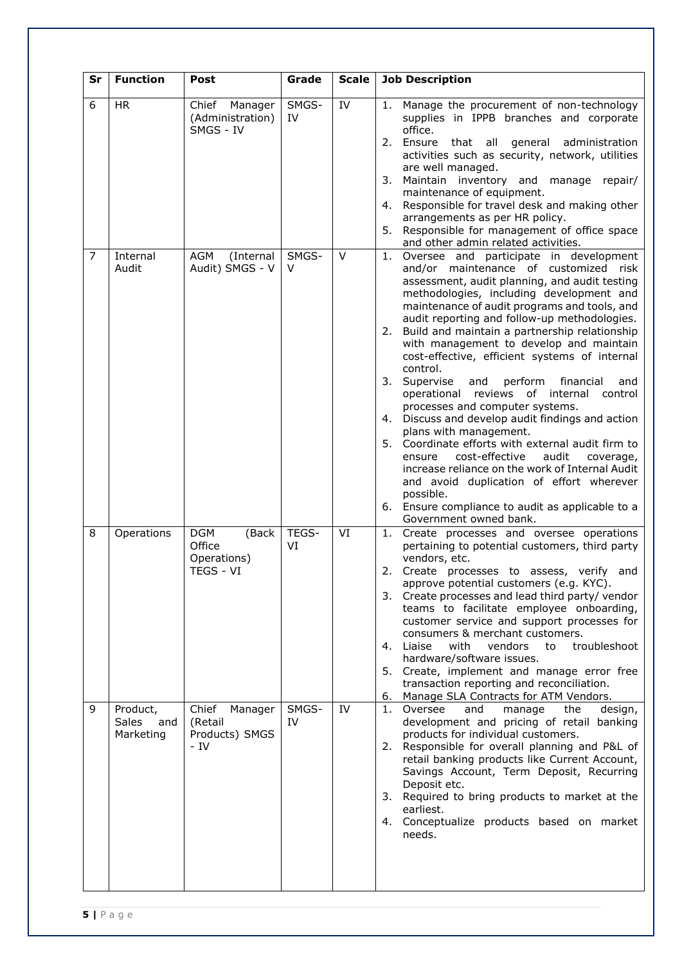| Sr | <b>Function</b>                              | Post                                                      | Grade       | <b>Scale</b> | <b>Job Description</b>                                                                                                                                                                                                                                                                                                                                                                                                                                                                                                                                                                                                                                                                                                                                                                                                                                                                                                                                                           |
|----|----------------------------------------------|-----------------------------------------------------------|-------------|--------------|----------------------------------------------------------------------------------------------------------------------------------------------------------------------------------------------------------------------------------------------------------------------------------------------------------------------------------------------------------------------------------------------------------------------------------------------------------------------------------------------------------------------------------------------------------------------------------------------------------------------------------------------------------------------------------------------------------------------------------------------------------------------------------------------------------------------------------------------------------------------------------------------------------------------------------------------------------------------------------|
| 6  | <b>HR</b>                                    | Chief<br>Manager<br>(Administration)<br>SMGS - IV         | SMGS-<br>IV | IV           | Manage the procurement of non-technology<br>1.<br>supplies in IPPB branches and corporate<br>office.<br>2. Ensure that all general administration<br>activities such as security, network, utilities<br>are well managed.<br>Maintain inventory and manage repair/<br>3.<br>maintenance of equipment.<br>Responsible for travel desk and making other<br>4.<br>arrangements as per HR policy.<br>Responsible for management of office space<br>5.<br>and other admin related activities.                                                                                                                                                                                                                                                                                                                                                                                                                                                                                         |
| 7  | Internal<br>Audit                            | AGM<br>(Internal<br>Audit) SMGS - V                       | SMGS-<br>V  | $\vee$       | Oversee and participate in development<br>1.<br>and/or maintenance of customized risk<br>assessment, audit planning, and audit testing<br>methodologies, including development and<br>maintenance of audit programs and tools, and<br>audit reporting and follow-up methodologies.<br>Build and maintain a partnership relationship<br>2.<br>with management to develop and maintain<br>cost-effective, efficient systems of internal<br>control.<br>perform<br>financial<br>3.<br>Supervise<br>and<br>and<br>operational<br>reviews<br>of internal<br>control<br>processes and computer systems.<br>4. Discuss and develop audit findings and action<br>plans with management.<br>5. Coordinate efforts with external audit firm to<br>cost-effective<br>audit<br>ensure<br>coverage,<br>increase reliance on the work of Internal Audit<br>and avoid duplication of effort wherever<br>possible.<br>6. Ensure compliance to audit as applicable to a<br>Government owned bank. |
| 8  | Operations                                   | <b>DGM</b><br>(Back<br>Office<br>Operations)<br>TEGS - VI | TEGS-<br>VI | VI           | Create processes and oversee operations<br>1.<br>pertaining to potential customers, third party<br>vendors, etc.<br>2.<br>Create processes to assess, verify and<br>approve potential customers (e.g. KYC).<br>3. Create processes and lead third party/vendor<br>teams to facilitate employee onboarding,<br>customer service and support processes for<br>consumers & merchant customers.<br>4. Liaise<br>with<br>vendors<br>to<br>troubleshoot<br>hardware/software issues.<br>5. Create, implement and manage error free<br>transaction reporting and reconciliation.<br>Manage SLA Contracts for ATM Vendors.<br>6.                                                                                                                                                                                                                                                                                                                                                         |
| 9  | Product,<br><b>Sales</b><br>and<br>Marketing | Chief<br>Manager<br>(Retail<br>Products) SMGS<br>$-IV$    | SMGS-<br>IV | IV           | Oversee<br>the<br>design,<br>manage<br>1.<br>and<br>development and pricing of retail banking<br>products for individual customers.<br>Responsible for overall planning and P&L of<br>2.<br>retail banking products like Current Account,<br>Savings Account, Term Deposit, Recurring<br>Deposit etc.<br>3. Required to bring products to market at the<br>earliest.<br>4. Conceptualize products based on market<br>needs.                                                                                                                                                                                                                                                                                                                                                                                                                                                                                                                                                      |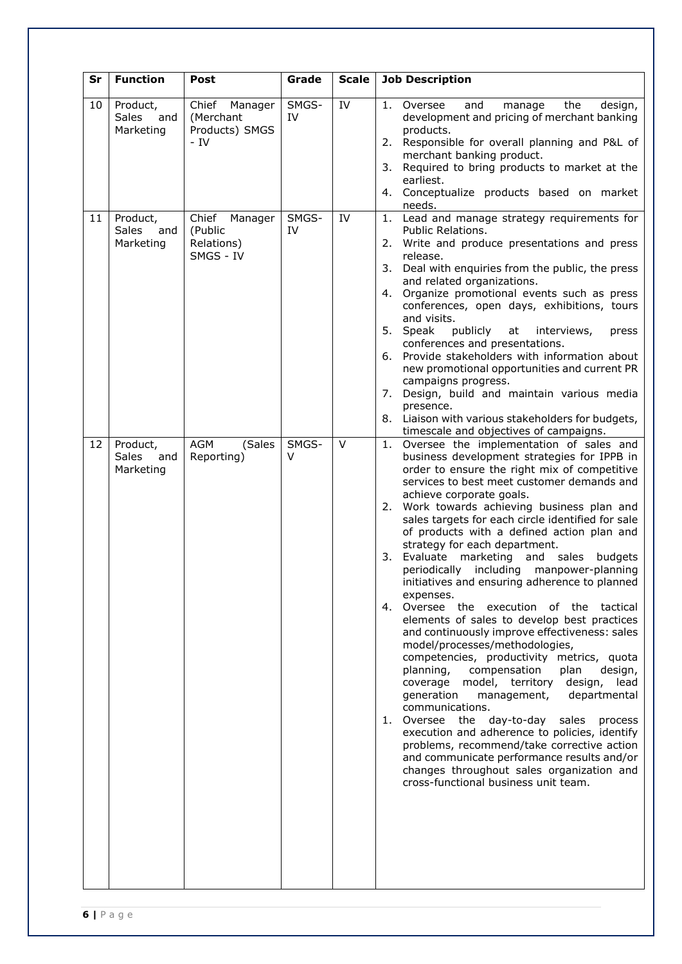| Sr       | <b>Function</b>                                          | Post                                                                         | Grade                | Scale    | <b>Job Description</b>                                                                                                                                                                                                                                                                                                                                                                                                                                                                                                                                                                                                                                                                                                                                                                                                                                                                                                                                                                                                                                                                                                                                                                                                                                      |
|----------|----------------------------------------------------------|------------------------------------------------------------------------------|----------------------|----------|-------------------------------------------------------------------------------------------------------------------------------------------------------------------------------------------------------------------------------------------------------------------------------------------------------------------------------------------------------------------------------------------------------------------------------------------------------------------------------------------------------------------------------------------------------------------------------------------------------------------------------------------------------------------------------------------------------------------------------------------------------------------------------------------------------------------------------------------------------------------------------------------------------------------------------------------------------------------------------------------------------------------------------------------------------------------------------------------------------------------------------------------------------------------------------------------------------------------------------------------------------------|
| 10<br>11 | Product,<br><b>Sales</b><br>and<br>Marketing<br>Product, | Chief<br>Manager<br>(Merchant<br>Products) SMGS<br>$-IV$<br>Chief<br>Manager | SMGS-<br>IV<br>SMGS- | IV<br>IV | Oversee<br>and<br>the<br>1.<br>manage<br>design,<br>development and pricing of merchant banking<br>products.<br>2. Responsible for overall planning and P&L of<br>merchant banking product.<br>Required to bring products to market at the<br>3.<br>earliest.<br>4. Conceptualize products based on market<br>needs.<br>Lead and manage strategy requirements for<br>1.                                                                                                                                                                                                                                                                                                                                                                                                                                                                                                                                                                                                                                                                                                                                                                                                                                                                                     |
|          | <b>Sales</b><br>and<br>Marketing                         | (Public<br>Relations)<br>SMGS - IV                                           | IV                   |          | Public Relations.<br>Write and produce presentations and press<br>2.<br>release.<br>3. Deal with enquiries from the public, the press<br>and related organizations.<br>Organize promotional events such as press<br>4.<br>conferences, open days, exhibitions, tours<br>and visits.<br>5. Speak<br>publicly<br>at<br>interviews,<br>press<br>conferences and presentations.<br>6. Provide stakeholders with information about<br>new promotional opportunities and current PR<br>campaigns progress.<br>Design, build and maintain various media<br>7.<br>presence.<br>8. Liaison with various stakeholders for budgets,<br>timescale and objectives of campaigns.                                                                                                                                                                                                                                                                                                                                                                                                                                                                                                                                                                                          |
| 12       | Product,<br><b>Sales</b><br>and<br>Marketing             | AGM<br>(Sales<br>Reporting)                                                  | SMGS-<br>V           | $\vee$   | Oversee the implementation of sales and<br>1.<br>business development strategies for IPPB in<br>order to ensure the right mix of competitive<br>services to best meet customer demands and<br>achieve corporate goals.<br>2. Work towards achieving business plan and<br>sales targets for each circle identified for sale<br>of products with a defined action plan and<br>strategy for each department.<br>3.<br>Evaluate<br>marketing<br>and sales<br>budgets<br>periodically including manpower-planning<br>initiatives and ensuring adherence to planned<br>expenses.<br>Oversee the execution of the tactical<br>4.<br>elements of sales to develop best practices<br>and continuously improve effectiveness: sales<br>model/processes/methodologies,<br>competencies, productivity metrics, quota<br>plan<br>design,<br>planning,<br>compensation<br>coverage model, territory<br>design,<br>lead<br>departmental<br>generation<br>management,<br>communications.<br>1. Oversee the day-to-day<br>sales<br>process<br>execution and adherence to policies, identify<br>problems, recommend/take corrective action<br>and communicate performance results and/or<br>changes throughout sales organization and<br>cross-functional business unit team. |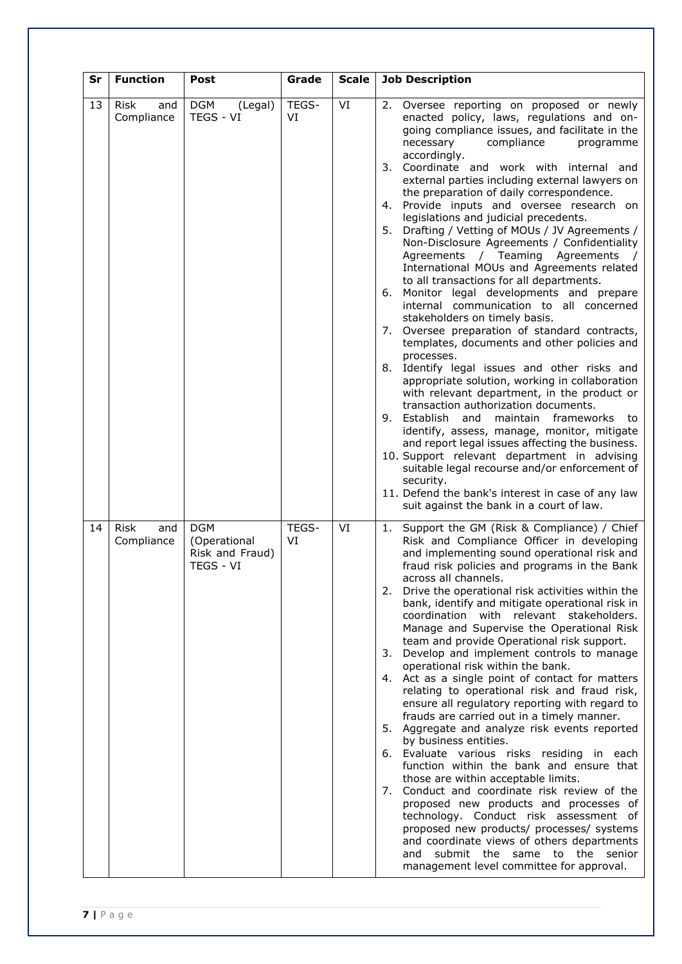| Sr | <b>Function</b>           | Post                                                       | Grade       | <b>Scale</b> | <b>Job Description</b>                                                                                                                                                                                                                                                                                                                                                                                                                                                                                                                                                                                                                                                                                                                                                                                                                                                                                                                                                                                                                                                                                                                                                                                                                                                                                                                                                                                                                                                                    |
|----|---------------------------|------------------------------------------------------------|-------------|--------------|-------------------------------------------------------------------------------------------------------------------------------------------------------------------------------------------------------------------------------------------------------------------------------------------------------------------------------------------------------------------------------------------------------------------------------------------------------------------------------------------------------------------------------------------------------------------------------------------------------------------------------------------------------------------------------------------------------------------------------------------------------------------------------------------------------------------------------------------------------------------------------------------------------------------------------------------------------------------------------------------------------------------------------------------------------------------------------------------------------------------------------------------------------------------------------------------------------------------------------------------------------------------------------------------------------------------------------------------------------------------------------------------------------------------------------------------------------------------------------------------|
| 13 | Risk<br>and<br>Compliance | <b>DGM</b><br>(Legal)<br>TEGS - VI                         | TEGS-<br>VI | VI           | 2. Oversee reporting on proposed or newly<br>enacted policy, laws, regulations and on-<br>going compliance issues, and facilitate in the<br>compliance<br>necessary<br>programme<br>accordingly.<br>3. Coordinate and work with internal and<br>external parties including external lawyers on<br>the preparation of daily correspondence.<br>Provide inputs and oversee research on<br>4.<br>legislations and judicial precedents.<br>Drafting / Vetting of MOUs / JV Agreements /<br>5.<br>Non-Disclosure Agreements / Confidentiality<br>Agreements / Teaming Agreements<br>$\sqrt{ }$<br>International MOUs and Agreements related<br>to all transactions for all departments.<br>Monitor legal developments and prepare<br>6.<br>internal communication to all concerned<br>stakeholders on timely basis.<br>7. Oversee preparation of standard contracts,<br>templates, documents and other policies and<br>processes.<br>8. Identify legal issues and other risks and<br>appropriate solution, working in collaboration<br>with relevant department, in the product or<br>transaction authorization documents.<br>9. Establish<br>and<br>maintain frameworks<br>to<br>identify, assess, manage, monitor, mitigate<br>and report legal issues affecting the business.<br>10. Support relevant department in advising<br>suitable legal recourse and/or enforcement of<br>security.<br>11. Defend the bank's interest in case of any law<br>suit against the bank in a court of law. |
| 14 | Risk<br>and<br>Compliance | <b>DGM</b><br>(Operational<br>Risk and Fraud)<br>TEGS - VI | TEGS-<br>VI | VI           | Support the GM (Risk & Compliance) / Chief<br>1.<br>Risk and Compliance Officer in developing<br>and implementing sound operational risk and<br>fraud risk policies and programs in the Bank<br>across all channels.<br>Drive the operational risk activities within the<br>2.<br>bank, identify and mitigate operational risk in<br>coordination with relevant stakeholders.<br>Manage and Supervise the Operational Risk<br>team and provide Operational risk support.<br>3. Develop and implement controls to manage<br>operational risk within the bank.<br>4. Act as a single point of contact for matters<br>relating to operational risk and fraud risk,<br>ensure all regulatory reporting with regard to<br>frauds are carried out in a timely manner.<br>5. Aggregate and analyze risk events reported<br>by business entities.<br>6. Evaluate various risks residing in each<br>function within the bank and ensure that<br>those are within acceptable limits.<br>7. Conduct and coordinate risk review of the<br>proposed new products and processes of<br>technology. Conduct risk assessment of<br>proposed new products/ processes/ systems<br>and coordinate views of others departments<br>submit the same to the senior<br>and<br>management level committee for approval.                                                                                                                                                                                             |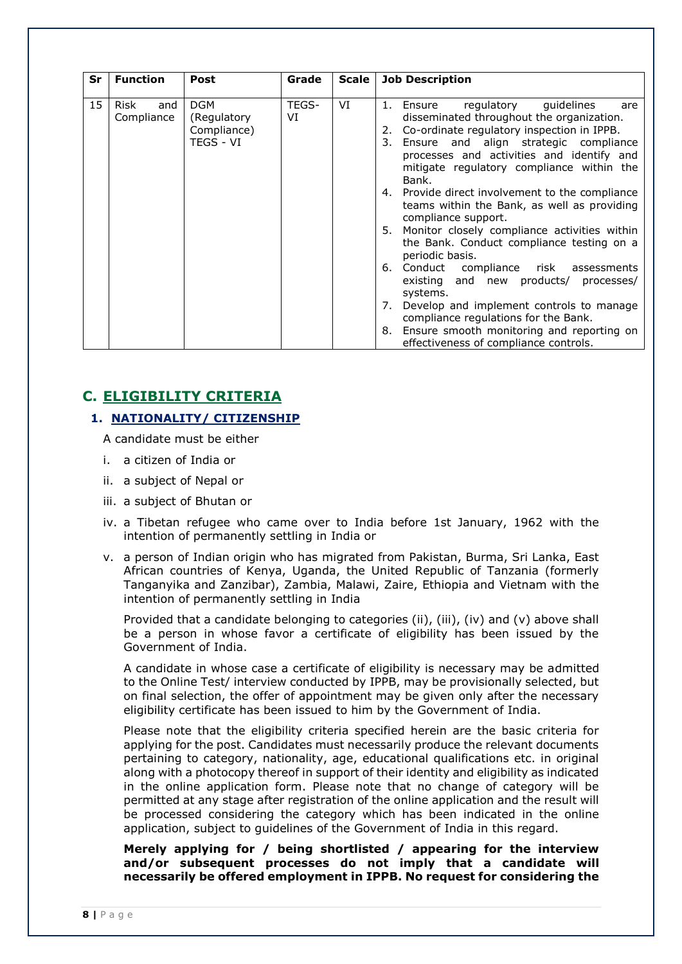| Sr | <b>Function</b>                  | <b>Post</b>                                           | Grade       | Scale | <b>Job Description</b>                                                                                                                                                                                                                                                                                                                                                                                                                                                                                                                                                                                                                                                                                                                                                                                                                          |
|----|----------------------------------|-------------------------------------------------------|-------------|-------|-------------------------------------------------------------------------------------------------------------------------------------------------------------------------------------------------------------------------------------------------------------------------------------------------------------------------------------------------------------------------------------------------------------------------------------------------------------------------------------------------------------------------------------------------------------------------------------------------------------------------------------------------------------------------------------------------------------------------------------------------------------------------------------------------------------------------------------------------|
|    |                                  |                                                       |             |       |                                                                                                                                                                                                                                                                                                                                                                                                                                                                                                                                                                                                                                                                                                                                                                                                                                                 |
| 15 | <b>Risk</b><br>and<br>Compliance | <b>DGM</b><br>(Regulatory<br>Compliance)<br>TEGS - VI | TEGS-<br>VI | VI    | regulatory<br>guidelines<br>1.<br>Ensure<br>are<br>disseminated throughout the organization.<br>Co-ordinate regulatory inspection in IPPB.<br>2.<br>Ensure and align strategic compliance<br>3.<br>processes and activities and identify and<br>mitigate regulatory compliance within the<br>Bank.<br>4. Provide direct involvement to the compliance<br>teams within the Bank, as well as providing<br>compliance support.<br>Monitor closely compliance activities within<br>5.<br>the Bank. Conduct compliance testing on a<br>periodic basis.<br>Conduct compliance<br>risk<br>6.<br>assessments<br>existing and new products/ processes/<br>systems.<br>Develop and implement controls to manage<br>7.<br>compliance regulations for the Bank.<br>Ensure smooth monitoring and reporting on<br>8.<br>effectiveness of compliance controls. |

# **C. ELIGIBILITY CRITERIA**

# **1. NATIONALITY/ CITIZENSHIP**

A candidate must be either

- i. a citizen of India or
- ii. a subject of Nepal or
- iii. a subject of Bhutan or
- iv. a Tibetan refugee who came over to India before 1st January, 1962 with the intention of permanently settling in India or
- v. a person of Indian origin who has migrated from Pakistan, Burma, Sri Lanka, East African countries of Kenya, Uganda, the United Republic of Tanzania (formerly Tanganyika and Zanzibar), Zambia, Malawi, Zaire, Ethiopia and Vietnam with the intention of permanently settling in India

Provided that a candidate belonging to categories (ii), (iii), (iv) and (v) above shall be a person in whose favor a certificate of eligibility has been issued by the Government of India.

A candidate in whose case a certificate of eligibility is necessary may be admitted to the Online Test/ interview conducted by IPPB, may be provisionally selected, but on final selection, the offer of appointment may be given only after the necessary eligibility certificate has been issued to him by the Government of India.

Please note that the eligibility criteria specified herein are the basic criteria for applying for the post. Candidates must necessarily produce the relevant documents pertaining to category, nationality, age, educational qualifications etc. in original along with a photocopy thereof in support of their identity and eligibility as indicated in the online application form. Please note that no change of category will be permitted at any stage after registration of the online application and the result will be processed considering the category which has been indicated in the online application, subject to guidelines of the Government of India in this regard.

**Merely applying for / being shortlisted / appearing for the interview and/or subsequent processes do not imply that a candidate will necessarily be offered employment in IPPB. No request for considering the**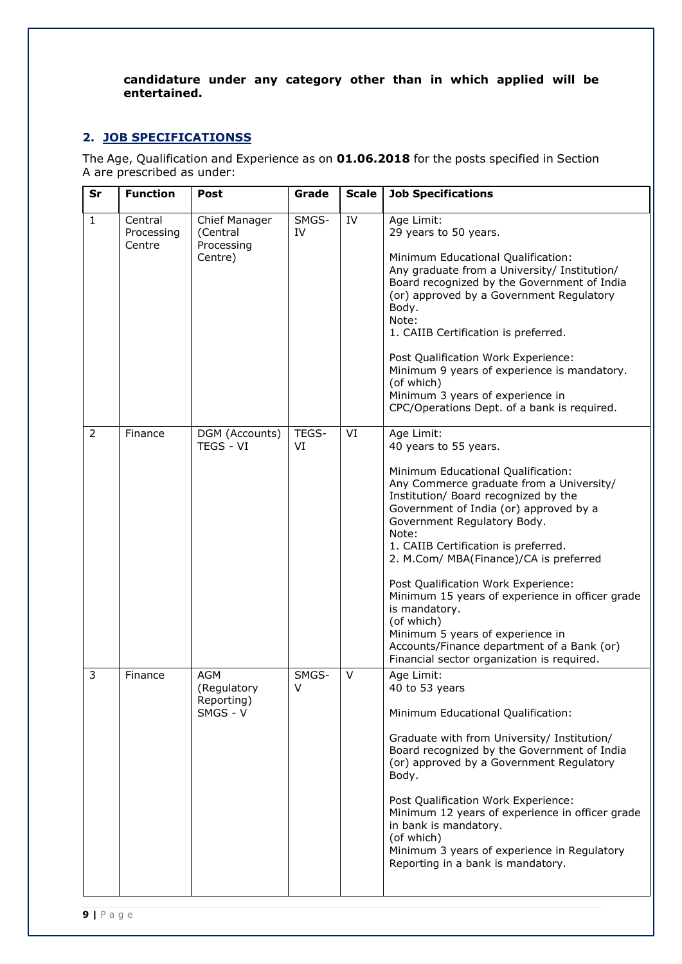# **candidature under any category other than in which applied will be entertained.**

# **2. JOB SPECIFICATIONSS**

The Age, Qualification and Experience as on **01.06.2018** for the posts specified in Section A are prescribed as under:

| Sr           | <b>Function</b>                 | Post                                               | Grade       | <b>Scale</b> | <b>Job Specifications</b>                                                                                                                                                                                                                                                                                                                                                                                                                                                                                                                                                                  |
|--------------|---------------------------------|----------------------------------------------------|-------------|--------------|--------------------------------------------------------------------------------------------------------------------------------------------------------------------------------------------------------------------------------------------------------------------------------------------------------------------------------------------------------------------------------------------------------------------------------------------------------------------------------------------------------------------------------------------------------------------------------------------|
| $\mathbf{1}$ | Central<br>Processing<br>Centre | Chief Manager<br>(Central<br>Processing<br>Centre) | SMGS-<br>IV | IV           | Age Limit:<br>29 years to 50 years.<br>Minimum Educational Qualification:<br>Any graduate from a University/ Institution/<br>Board recognized by the Government of India<br>(or) approved by a Government Regulatory<br>Body.<br>Note:<br>1. CAIIB Certification is preferred.<br>Post Qualification Work Experience:<br>Minimum 9 years of experience is mandatory.<br>(of which)<br>Minimum 3 years of experience in<br>CPC/Operations Dept. of a bank is required.                                                                                                                      |
| 2            | Finance                         | DGM (Accounts)<br><b>TEGS - VI</b>                 | TEGS-<br>VI | VI           | Age Limit:<br>40 years to 55 years.<br>Minimum Educational Qualification:<br>Any Commerce graduate from a University/<br>Institution/ Board recognized by the<br>Government of India (or) approved by a<br>Government Regulatory Body.<br>Note:<br>1. CAIIB Certification is preferred.<br>2. M.Com/ MBA(Finance)/CA is preferred<br>Post Qualification Work Experience:<br>Minimum 15 years of experience in officer grade<br>is mandatory.<br>(of which)<br>Minimum 5 years of experience in<br>Accounts/Finance department of a Bank (or)<br>Financial sector organization is required. |
| 3            | Finance                         | AGM<br>(Regulatory<br>Reporting)<br>SMGS - V       | SMGS-<br>V  | $\vee$       | Age Limit:<br>40 to 53 years<br>Minimum Educational Qualification:<br>Graduate with from University/ Institution/<br>Board recognized by the Government of India<br>(or) approved by a Government Regulatory<br>Body.<br>Post Qualification Work Experience:<br>Minimum 12 years of experience in officer grade<br>in bank is mandatory.<br>(of which)<br>Minimum 3 years of experience in Regulatory<br>Reporting in a bank is mandatory.                                                                                                                                                 |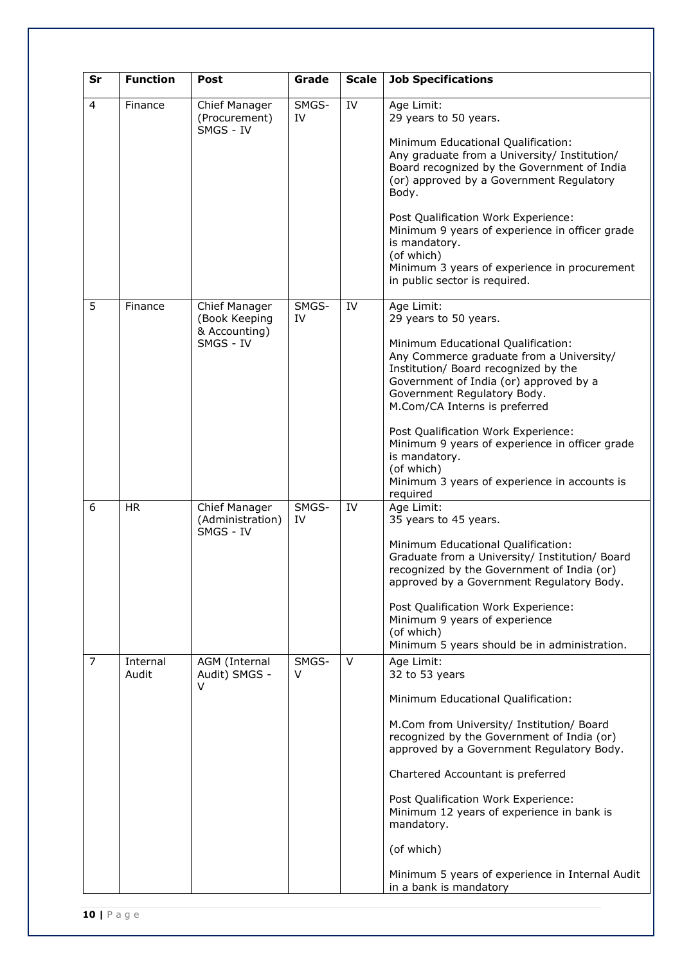| Sr             | <b>Function</b>   | Post                                                         | Grade       | <b>Scale</b> | <b>Job Specifications</b>                                                                                                                                                                                                                                                                                                                                                                                                                                   |
|----------------|-------------------|--------------------------------------------------------------|-------------|--------------|-------------------------------------------------------------------------------------------------------------------------------------------------------------------------------------------------------------------------------------------------------------------------------------------------------------------------------------------------------------------------------------------------------------------------------------------------------------|
| $\overline{4}$ | Finance           | Chief Manager<br>(Procurement)<br>SMGS - IV                  | SMGS-<br>IV | IV           | Age Limit:<br>29 years to 50 years.<br>Minimum Educational Qualification:<br>Any graduate from a University/ Institution/<br>Board recognized by the Government of India<br>(or) approved by a Government Regulatory<br>Body.<br>Post Qualification Work Experience:<br>Minimum 9 years of experience in officer grade<br>is mandatory.<br>(of which)<br>Minimum 3 years of experience in procurement<br>in public sector is required.                      |
| 5              | Finance           | Chief Manager<br>(Book Keeping<br>& Accounting)<br>SMGS - IV | SMGS-<br>IV | IV           | Age Limit:<br>29 years to 50 years.<br>Minimum Educational Qualification:<br>Any Commerce graduate from a University/<br>Institution/ Board recognized by the<br>Government of India (or) approved by a<br>Government Regulatory Body.<br>M.Com/CA Interns is preferred<br>Post Qualification Work Experience:<br>Minimum 9 years of experience in officer grade<br>is mandatory.<br>(of which)<br>Minimum 3 years of experience in accounts is<br>required |
| 6              | <b>HR</b>         | Chief Manager<br>(Administration)<br>SMGS - IV               | SMGS-<br>IV | IV           | Age Limit:<br>35 years to 45 years.<br>Minimum Educational Qualification:<br>Graduate from a University/ Institution/ Board<br>recognized by the Government of India (or)<br>approved by a Government Regulatory Body.<br>Post Qualification Work Experience:<br>Minimum 9 years of experience<br>(of which)<br>Minimum 5 years should be in administration.                                                                                                |
| 7              | Internal<br>Audit | AGM (Internal<br>Audit) SMGS -<br>V                          | SMGS-<br>V  | V            | Age Limit:<br>32 to 53 years<br>Minimum Educational Qualification:<br>M.Com from University/ Institution/ Board<br>recognized by the Government of India (or)<br>approved by a Government Regulatory Body.<br>Chartered Accountant is preferred<br>Post Qualification Work Experience:<br>Minimum 12 years of experience in bank is<br>mandatory.<br>(of which)<br>Minimum 5 years of experience in Internal Audit<br>in a bank is mandatory                |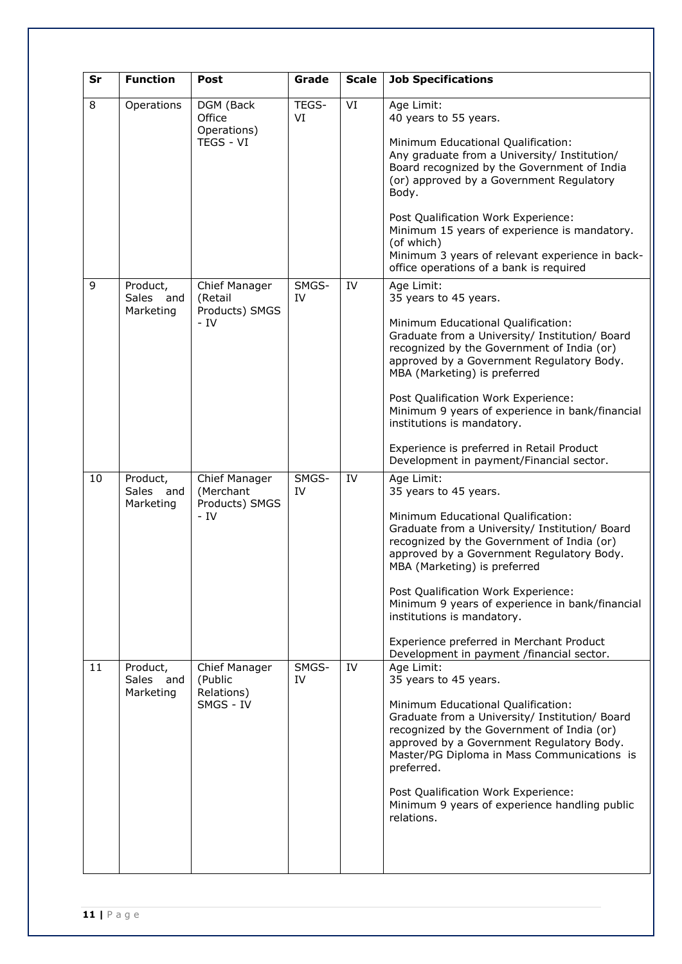| Sr | <b>Function</b>                    | Post                                                  | Grade       | <b>Scale</b> | <b>Job Specifications</b>                                                                                                                                                                                                                                                                                                                                                                                                                                               |
|----|------------------------------------|-------------------------------------------------------|-------------|--------------|-------------------------------------------------------------------------------------------------------------------------------------------------------------------------------------------------------------------------------------------------------------------------------------------------------------------------------------------------------------------------------------------------------------------------------------------------------------------------|
| 8  | Operations                         | DGM (Back<br>Office<br>Operations)<br>TEGS - VI       | TEGS-<br>VI | VI           | Age Limit:<br>40 years to 55 years.<br>Minimum Educational Qualification:<br>Any graduate from a University/ Institution/<br>Board recognized by the Government of India<br>(or) approved by a Government Regulatory<br>Body.<br>Post Qualification Work Experience:<br>Minimum 15 years of experience is mandatory.<br>(of which)<br>Minimum 3 years of relevant experience in back-<br>office operations of a bank is required                                        |
| 9  | Product,<br>Sales and<br>Marketing | Chief Manager<br>(Retail<br>Products) SMGS<br>- IV    | SMGS-<br>IV | IV           | Age Limit:<br>35 years to 45 years.<br>Minimum Educational Qualification:<br>Graduate from a University/ Institution/ Board<br>recognized by the Government of India (or)<br>approved by a Government Regulatory Body.<br>MBA (Marketing) is preferred<br>Post Qualification Work Experience:<br>Minimum 9 years of experience in bank/financial<br>institutions is mandatory.<br>Experience is preferred in Retail Product<br>Development in payment/Financial sector. |
| 10 | Product,<br>Sales and<br>Marketing | Chief Manager<br>(Merchant<br>Products) SMGS<br>$-IV$ | SMGS-<br>IV | IV           | Age Limit:<br>35 years to 45 years.<br>Minimum Educational Qualification:<br>Graduate from a University/ Institution/ Board<br>recognized by the Government of India (or)<br>approved by a Government Regulatory Body.<br>MBA (Marketing) is preferred<br>Post Qualification Work Experience:<br>Minimum 9 years of experience in bank/financial<br>institutions is mandatory.<br>Experience preferred in Merchant Product<br>Development in payment /financial sector. |
| 11 | Product,<br>Sales and<br>Marketing | Chief Manager<br>(Public<br>Relations)<br>SMGS - IV   | SMGS-<br>IV | IV           | Age Limit:<br>35 years to 45 years.<br>Minimum Educational Qualification:<br>Graduate from a University/ Institution/ Board<br>recognized by the Government of India (or)<br>approved by a Government Regulatory Body.<br>Master/PG Diploma in Mass Communications is<br>preferred.<br>Post Qualification Work Experience:<br>Minimum 9 years of experience handling public<br>relations.                                                                               |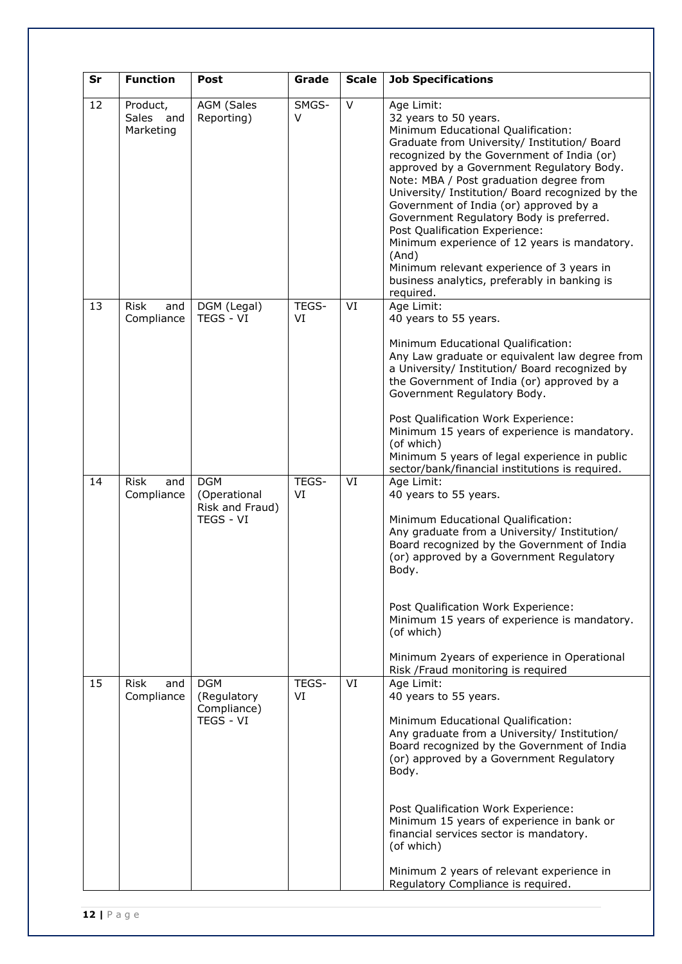| Sr | <b>Function</b>                    | <b>Post</b>                                                | Grade       | <b>Scale</b> | <b>Job Specifications</b>                                                                                                                                                                                                                                                                                                                                                                                                                                                                                                                                                                                      |
|----|------------------------------------|------------------------------------------------------------|-------------|--------------|----------------------------------------------------------------------------------------------------------------------------------------------------------------------------------------------------------------------------------------------------------------------------------------------------------------------------------------------------------------------------------------------------------------------------------------------------------------------------------------------------------------------------------------------------------------------------------------------------------------|
| 12 | Product,<br>Sales and<br>Marketing | <b>AGM (Sales</b><br>Reporting)                            | SMGS-<br>V  | $\vee$       | Age Limit:<br>32 years to 50 years.<br>Minimum Educational Qualification:<br>Graduate from University/ Institution/ Board<br>recognized by the Government of India (or)<br>approved by a Government Regulatory Body.<br>Note: MBA / Post graduation degree from<br>University/ Institution/ Board recognized by the<br>Government of India (or) approved by a<br>Government Regulatory Body is preferred.<br>Post Qualification Experience:<br>Minimum experience of 12 years is mandatory.<br>(And)<br>Minimum relevant experience of 3 years in<br>business analytics, preferably in banking is<br>required. |
| 13 | <b>Risk</b><br>and<br>Compliance   | DGM (Legal)<br>TEGS - VI                                   | TEGS-<br>VI | VI           | Age Limit:<br>40 years to 55 years.<br>Minimum Educational Qualification:<br>Any Law graduate or equivalent law degree from<br>a University/ Institution/ Board recognized by<br>the Government of India (or) approved by a<br>Government Regulatory Body.<br>Post Qualification Work Experience:<br>Minimum 15 years of experience is mandatory.<br>(of which)<br>Minimum 5 years of legal experience in public<br>sector/bank/financial institutions is required.                                                                                                                                            |
| 14 | <b>Risk</b><br>and<br>Compliance   | <b>DGM</b><br>(Operational<br>Risk and Fraud)<br>TEGS - VI | TEGS-<br>VI | VI           | Age Limit:<br>40 years to 55 years.<br>Minimum Educational Qualification:<br>Any graduate from a University/ Institution/<br>Board recognized by the Government of India<br>(or) approved by a Government Regulatory<br>Body.<br>Post Qualification Work Experience:<br>Minimum 15 years of experience is mandatory.<br>(of which)<br>Minimum 2years of experience in Operational<br>Risk /Fraud monitoring is required                                                                                                                                                                                        |
| 15 | <b>Risk</b><br>and<br>Compliance   | <b>DGM</b><br>(Regulatory<br>Compliance)<br>TEGS - VI      | TEGS-<br>VI | VI           | Age Limit:<br>40 years to 55 years.<br>Minimum Educational Qualification:<br>Any graduate from a University/ Institution/<br>Board recognized by the Government of India<br>(or) approved by a Government Regulatory<br>Body.<br>Post Qualification Work Experience:<br>Minimum 15 years of experience in bank or<br>financial services sector is mandatory.<br>(of which)<br>Minimum 2 years of relevant experience in<br>Regulatory Compliance is required.                                                                                                                                                  |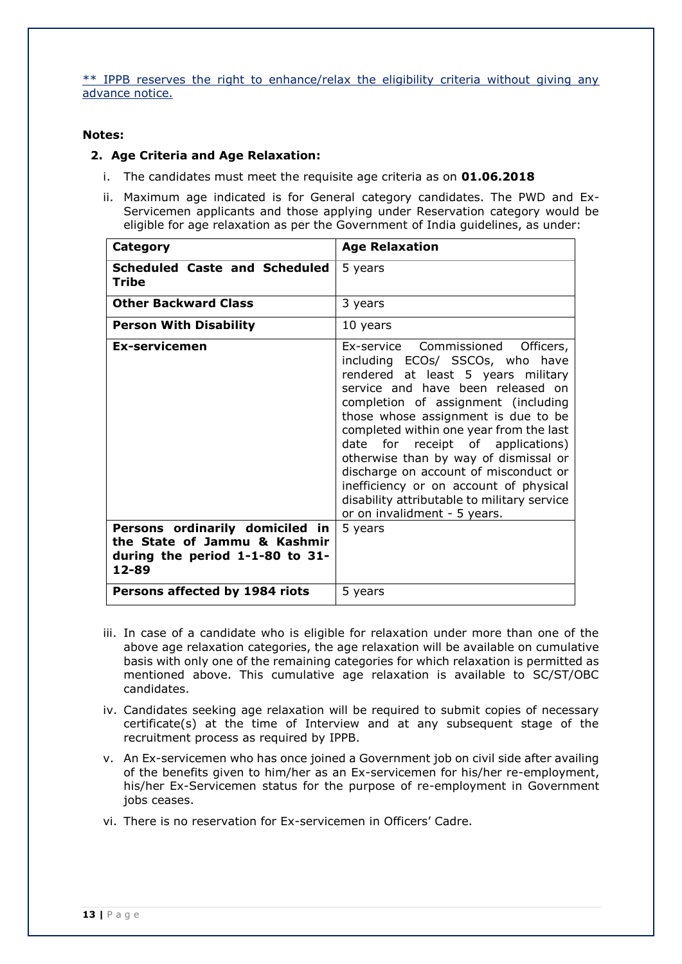\*\* IPPB reserves the right to enhance/relax the eligibility criteria without giving any advance notice.

#### **Notes:**

#### **2. Age Criteria and Age Relaxation:**

- i. The candidates must meet the requisite age criteria as on **01.06.2018**
- ii. Maximum age indicated is for General category candidates. The PWD and Ex-Servicemen applicants and those applying under Reservation category would be eligible for age relaxation as per the Government of India guidelines, as under:

| Category                                                                 | <b>Age Relaxation</b>                                                                                                                                                                                                                                                                                                                                                                                                                                                                                                                     |
|--------------------------------------------------------------------------|-------------------------------------------------------------------------------------------------------------------------------------------------------------------------------------------------------------------------------------------------------------------------------------------------------------------------------------------------------------------------------------------------------------------------------------------------------------------------------------------------------------------------------------------|
| <b>Scheduled Caste and Scheduled</b><br>Tribe                            | 5 years                                                                                                                                                                                                                                                                                                                                                                                                                                                                                                                                   |
| <b>Other Backward Class</b>                                              | 3 years                                                                                                                                                                                                                                                                                                                                                                                                                                                                                                                                   |
| <b>Person With Disability</b>                                            | 10 years                                                                                                                                                                                                                                                                                                                                                                                                                                                                                                                                  |
| <b>Ex-servicemen</b><br>Persons ordinarily domiciled in                  | Ex-service Commissioned<br>Officers,<br>including ECOs/ SSCOs, who have<br>rendered at least 5 years military<br>service and have been released on<br>completion of assignment (including<br>those whose assignment is due to be<br>completed within one year from the last<br>for receipt of applications)<br>date<br>otherwise than by way of dismissal or<br>discharge on account of misconduct or<br>inefficiency or on account of physical<br>disability attributable to military service<br>or on invalidment - 5 years.<br>5 years |
| the State of Jammu & Kashmir<br>during the period 1-1-80 to 31-<br>12-89 |                                                                                                                                                                                                                                                                                                                                                                                                                                                                                                                                           |
| Persons affected by 1984 riots                                           | 5 years                                                                                                                                                                                                                                                                                                                                                                                                                                                                                                                                   |

- iii. In case of a candidate who is eligible for relaxation under more than one of the above age relaxation categories, the age relaxation will be available on cumulative basis with only one of the remaining categories for which relaxation is permitted as mentioned above. This cumulative age relaxation is available to SC/ST/OBC candidates.
- iv. Candidates seeking age relaxation will be required to submit copies of necessary certificate(s) at the time of Interview and at any subsequent stage of the recruitment process as required by IPPB.
- v. An Ex-servicemen who has once joined a Government job on civil side after availing of the benefits given to him/her as an Ex-servicemen for his/her re-employment, his/her Ex-Servicemen status for the purpose of re-employment in Government jobs ceases.
- vi. There is no reservation for Ex-servicemen in Officers' Cadre.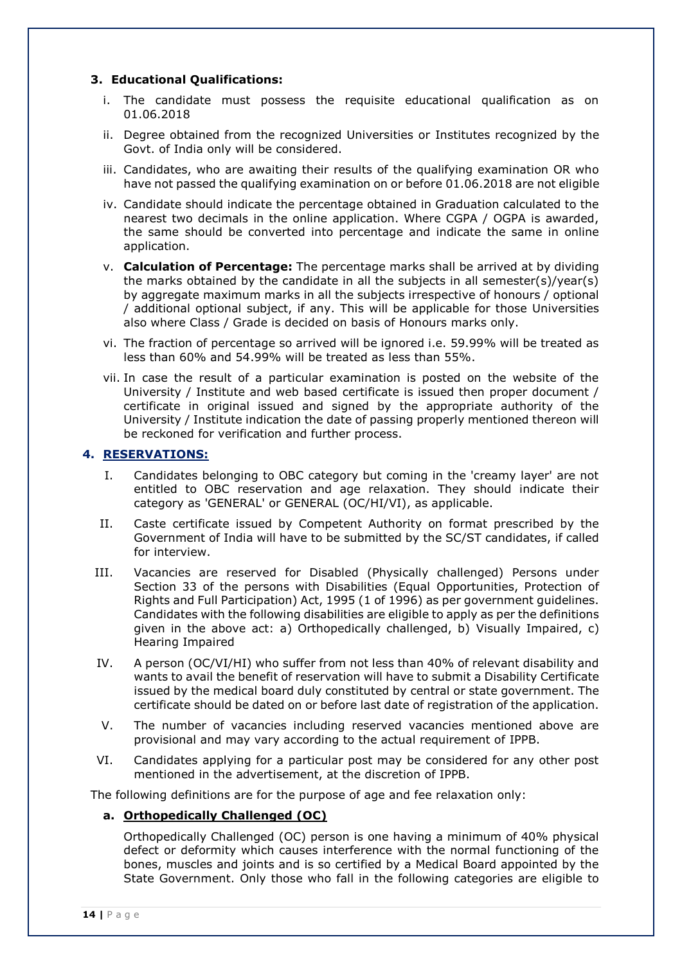# **3. Educational Qualifications:**

- i. The candidate must possess the requisite educational qualification as on 01.06.2018
- ii. Degree obtained from the recognized Universities or Institutes recognized by the Govt. of India only will be considered.
- iii. Candidates, who are awaiting their results of the qualifying examination OR who have not passed the qualifying examination on or before 01.06.2018 are not eligible
- iv. Candidate should indicate the percentage obtained in Graduation calculated to the nearest two decimals in the online application. Where CGPA / OGPA is awarded, the same should be converted into percentage and indicate the same in online application.
- v. **Calculation of Percentage:** The percentage marks shall be arrived at by dividing the marks obtained by the candidate in all the subjects in all semester(s)/year(s) by aggregate maximum marks in all the subjects irrespective of honours / optional / additional optional subject, if any. This will be applicable for those Universities also where Class / Grade is decided on basis of Honours marks only.
- vi. The fraction of percentage so arrived will be ignored i.e. 59.99% will be treated as less than 60% and 54.99% will be treated as less than 55%.
- vii. In case the result of a particular examination is posted on the website of the University / Institute and web based certificate is issued then proper document / certificate in original issued and signed by the appropriate authority of the University / Institute indication the date of passing properly mentioned thereon will be reckoned for verification and further process.

#### **4. RESERVATIONS:**

- I. Candidates belonging to OBC category but coming in the 'creamy layer' are not entitled to OBC reservation and age relaxation. They should indicate their category as 'GENERAL' or GENERAL (OC/HI/VI), as applicable.
- II. Caste certificate issued by Competent Authority on format prescribed by the Government of India will have to be submitted by the SC/ST candidates, if called for interview.
- III. Vacancies are reserved for Disabled (Physically challenged) Persons under Section 33 of the persons with Disabilities (Equal Opportunities, Protection of Rights and Full Participation) Act, 1995 (1 of 1996) as per government guidelines. Candidates with the following disabilities are eligible to apply as per the definitions given in the above act: a) Orthopedically challenged, b) Visually Impaired, c) Hearing Impaired
- IV. A person (OC/VI/HI) who suffer from not less than 40% of relevant disability and wants to avail the benefit of reservation will have to submit a Disability Certificate issued by the medical board duly constituted by central or state government. The certificate should be dated on or before last date of registration of the application.
- V. The number of vacancies including reserved vacancies mentioned above are provisional and may vary according to the actual requirement of IPPB.
- VI. Candidates applying for a particular post may be considered for any other post mentioned in the advertisement, at the discretion of IPPB.

The following definitions are for the purpose of age and fee relaxation only:

#### **a. Orthopedically Challenged (OC)**

Orthopedically Challenged (OC) person is one having a minimum of 40% physical defect or deformity which causes interference with the normal functioning of the bones, muscles and joints and is so certified by a Medical Board appointed by the State Government. Only those who fall in the following categories are eligible to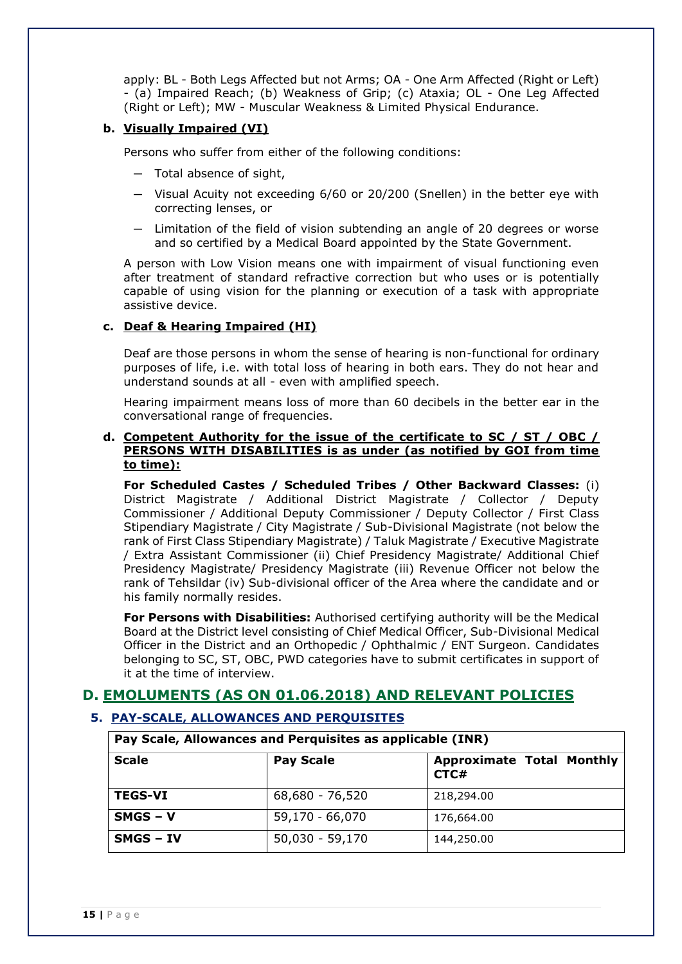apply: BL - Both Legs Affected but not Arms; OA - One Arm Affected (Right or Left) - (a) Impaired Reach; (b) Weakness of Grip; (c) Ataxia; OL - One Leg Affected (Right or Left); MW - Muscular Weakness & Limited Physical Endurance.

### **b. Visually Impaired (VI)**

Persons who suffer from either of the following conditions:

- ─ Total absence of sight,
- ─ Visual Acuity not exceeding 6/60 or 20/200 (Snellen) in the better eye with correcting lenses, or
- ─ Limitation of the field of vision subtending an angle of 20 degrees or worse and so certified by a Medical Board appointed by the State Government.

A person with Low Vision means one with impairment of visual functioning even after treatment of standard refractive correction but who uses or is potentially capable of using vision for the planning or execution of a task with appropriate assistive device.

### **c. Deaf & Hearing Impaired (HI)**

Deaf are those persons in whom the sense of hearing is non-functional for ordinary purposes of life, i.e. with total loss of hearing in both ears. They do not hear and understand sounds at all - even with amplified speech.

Hearing impairment means loss of more than 60 decibels in the better ear in the conversational range of frequencies.

#### **d. Competent Authority for the issue of the certificate to SC / ST / OBC / PERSONS WITH DISABILITIES is as under (as notified by GOI from time to time):**

**For Scheduled Castes / Scheduled Tribes / Other Backward Classes:** (i) District Magistrate / Additional District Magistrate / Collector / Deputy Commissioner / Additional Deputy Commissioner / Deputy Collector / First Class Stipendiary Magistrate / City Magistrate / Sub-Divisional Magistrate (not below the rank of First Class Stipendiary Magistrate) / Taluk Magistrate / Executive Magistrate / Extra Assistant Commissioner (ii) Chief Presidency Magistrate/ Additional Chief Presidency Magistrate/ Presidency Magistrate (iii) Revenue Officer not below the rank of Tehsildar (iv) Sub-divisional officer of the Area where the candidate and or his family normally resides.

**For Persons with Disabilities:** Authorised certifying authority will be the Medical Board at the District level consisting of Chief Medical Officer, Sub-Divisional Medical Officer in the District and an Orthopedic / Ophthalmic / ENT Surgeon. Candidates belonging to SC, ST, OBC, PWD categories have to submit certificates in support of it at the time of interview.

# **D. EMOLUMENTS (AS ON 01.06.2018) AND RELEVANT POLICIES**

# **5. PAY-SCALE, ALLOWANCES AND PERQUISITES**

**Pay Scale, Allowances and Perquisites as applicable (INR)**

| <b>Scale</b>     | <b>Pay Scale</b> | <b>Approximate Total Monthly</b><br>CTC# |
|------------------|------------------|------------------------------------------|
| <b>TEGS-VI</b>   | 68,680 - 76,520  | 218,294.00                               |
| $SMGS - V$       | 59,170 - 66,070  | 176,664.00                               |
| <b>SMGS - IV</b> | 50,030 - 59,170  | 144,250.00                               |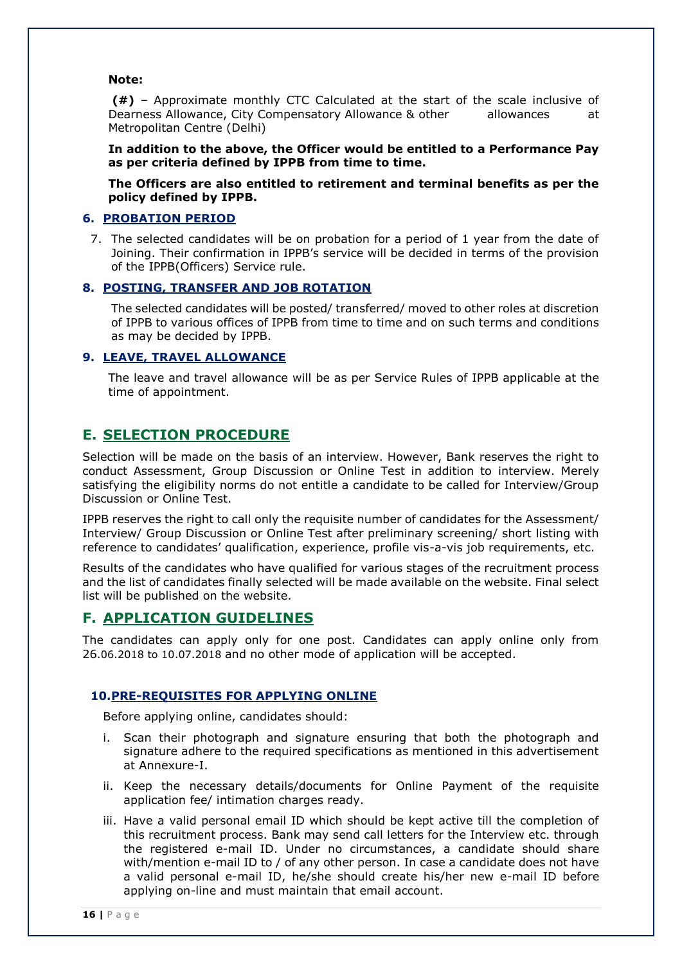#### **Note:**

**(#)** – Approximate monthly CTC Calculated at the start of the scale inclusive of Dearness Allowance, City Compensatory Allowance & other allowances at Metropolitan Centre (Delhi)

**In addition to the above, the Officer would be entitled to a Performance Pay as per criteria defined by IPPB from time to time.** 

**The Officers are also entitled to retirement and terminal benefits as per the policy defined by IPPB.** 

## **6. PROBATION PERIOD**

7. The selected candidates will be on probation for a period of 1 year from the date of Joining. Their confirmation in IPPB's service will be decided in terms of the provision of the IPPB(Officers) Service rule.

### **8. POSTING, TRANSFER AND JOB ROTATION**

The selected candidates will be posted/ transferred/ moved to other roles at discretion of IPPB to various offices of IPPB from time to time and on such terms and conditions as may be decided by IPPB.

#### **9. LEAVE, TRAVEL ALLOWANCE**

The leave and travel allowance will be as per Service Rules of IPPB applicable at the time of appointment.

# **E. SELECTION PROCEDURE**

Selection will be made on the basis of an interview. However, Bank reserves the right to conduct Assessment, Group Discussion or Online Test in addition to interview. Merely satisfying the eligibility norms do not entitle a candidate to be called for Interview/Group Discussion or Online Test.

IPPB reserves the right to call only the requisite number of candidates for the Assessment/ Interview/ Group Discussion or Online Test after preliminary screening/ short listing with reference to candidates' qualification, experience, profile vis-a-vis job requirements, etc.

Results of the candidates who have qualified for various stages of the recruitment process and the list of candidates finally selected will be made available on the website. Final select list will be published on the website.

#### **F. APPLICATION GUIDELINES**

The candidates can apply only for one post. Candidates can apply online only from 26.06.2018 to 10.07.2018 and no other mode of application will be accepted.

#### **10.PRE-REQUISITES FOR APPLYING ONLINE**

Before applying online, candidates should:

- i. Scan their photograph and signature ensuring that both the photograph and signature adhere to the required specifications as mentioned in this advertisement at Annexure-I.
- ii. Keep the necessary details/documents for Online Payment of the requisite application fee/ intimation charges ready.
- iii. Have a valid personal email ID which should be kept active till the completion of this recruitment process. Bank may send call letters for the Interview etc. through the registered e-mail ID. Under no circumstances, a candidate should share with/mention e-mail ID to / of any other person. In case a candidate does not have a valid personal e-mail ID, he/she should create his/her new e-mail ID before applying on-line and must maintain that email account.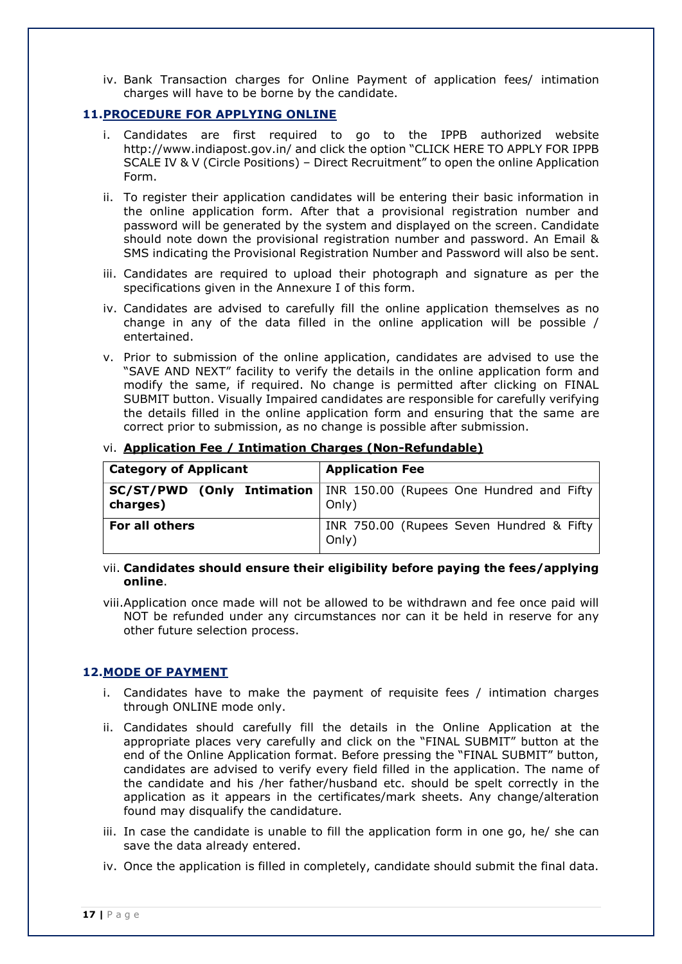iv. Bank Transaction charges for Online Payment of application fees/ intimation charges will have to be borne by the candidate.

### **11.PROCEDURE FOR APPLYING ONLINE**

- Candidates are first required to go to the IPPB authorized website <http://www.indiapost.gov.in/> and click the option "CLICK HERE TO APPLY FOR IPPB SCALE IV & V (Circle Positions) – Direct Recruitment" to open the online Application Form.
- ii. To register their application candidates will be entering their basic information in the online application form. After that a provisional registration number and password will be generated by the system and displayed on the screen. Candidate should note down the provisional registration number and password. An Email & SMS indicating the Provisional Registration Number and Password will also be sent.
- iii. Candidates are required to upload their photograph and signature as per the specifications given in the Annexure I of this form.
- iv. Candidates are advised to carefully fill the online application themselves as no change in any of the data filled in the online application will be possible / entertained.
- v. Prior to submission of the online application, candidates are advised to use the "SAVE AND NEXT" facility to verify the details in the online application form and modify the same, if required. No change is permitted after clicking on FINAL SUBMIT button. Visually Impaired candidates are responsible for carefully verifying the details filled in the online application form and ensuring that the same are correct prior to submission, as no change is possible after submission.

| <b>Category of Applicant</b> | <b>Application Fee</b>                                                                |  |  |  |  |
|------------------------------|---------------------------------------------------------------------------------------|--|--|--|--|
| charges)                     | <b>SC/ST/PWD (Only Intimation</b>   INR 150.00 (Rupees One Hundred and Fifty<br>Only) |  |  |  |  |
| For all others               | INR 750.00 (Rupees Seven Hundred & Fifty<br>Only)                                     |  |  |  |  |

### vi. **Application Fee / Intimation Charges (Non-Refundable)**

#### vii. **Candidates should ensure their eligibility before paying the fees/applying online**.

viii.Application once made will not be allowed to be withdrawn and fee once paid will NOT be refunded under any circumstances nor can it be held in reserve for any other future selection process.

#### **12.MODE OF PAYMENT**

- i. Candidates have to make the payment of requisite fees / intimation charges through ONLINE mode only.
- ii. Candidates should carefully fill the details in the Online Application at the appropriate places very carefully and click on the "FINAL SUBMIT" button at the end of the Online Application format. Before pressing the "FINAL SUBMIT" button, candidates are advised to verify every field filled in the application. The name of the candidate and his /her father/husband etc. should be spelt correctly in the application as it appears in the certificates/mark sheets. Any change/alteration found may disqualify the candidature.
- iii. In case the candidate is unable to fill the application form in one go, he/ she can save the data already entered.
- iv. Once the application is filled in completely, candidate should submit the final data.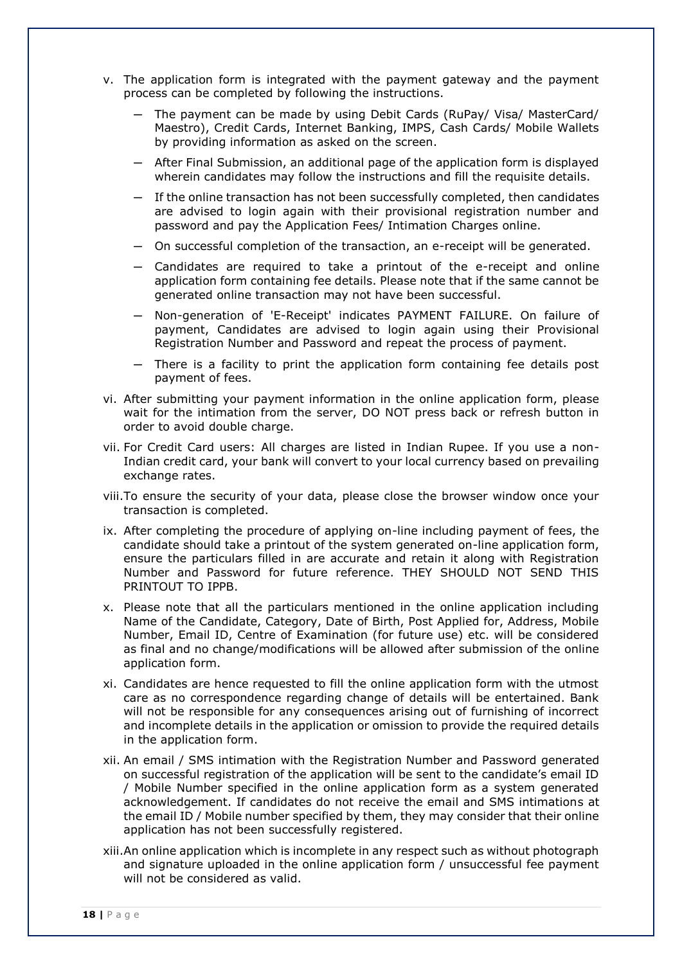- v. The application form is integrated with the payment gateway and the payment process can be completed by following the instructions.
	- The payment can be made by using Debit Cards (RuPay/ Visa/ MasterCard/ Maestro), Credit Cards, Internet Banking, IMPS, Cash Cards/ Mobile Wallets by providing information as asked on the screen.
	- ─ After Final Submission, an additional page of the application form is displayed wherein candidates may follow the instructions and fill the requisite details.
	- ─ If the online transaction has not been successfully completed, then candidates are advised to login again with their provisional registration number and password and pay the Application Fees/ Intimation Charges online.
	- ─ On successful completion of the transaction, an e-receipt will be generated.
	- ─ Candidates are required to take a printout of the e-receipt and online application form containing fee details. Please note that if the same cannot be generated online transaction may not have been successful.
	- ─ Non-generation of 'E-Receipt' indicates PAYMENT FAILURE. On failure of payment, Candidates are advised to login again using their Provisional Registration Number and Password and repeat the process of payment.
	- ─ There is a facility to print the application form containing fee details post payment of fees.
- vi. After submitting your payment information in the online application form, please wait for the intimation from the server, DO NOT press back or refresh button in order to avoid double charge.
- vii. For Credit Card users: All charges are listed in Indian Rupee. If you use a non-Indian credit card, your bank will convert to your local currency based on prevailing exchange rates.
- viii.To ensure the security of your data, please close the browser window once your transaction is completed.
- ix. After completing the procedure of applying on-line including payment of fees, the candidate should take a printout of the system generated on-line application form, ensure the particulars filled in are accurate and retain it along with Registration Number and Password for future reference. THEY SHOULD NOT SEND THIS PRINTOUT TO IPPB.
- x. Please note that all the particulars mentioned in the online application including Name of the Candidate, Category, Date of Birth, Post Applied for, Address, Mobile Number, Email ID, Centre of Examination (for future use) etc. will be considered as final and no change/modifications will be allowed after submission of the online application form.
- xi. Candidates are hence requested to fill the online application form with the utmost care as no correspondence regarding change of details will be entertained. Bank will not be responsible for any consequences arising out of furnishing of incorrect and incomplete details in the application or omission to provide the required details in the application form.
- xii. An email / SMS intimation with the Registration Number and Password generated on successful registration of the application will be sent to the candidate's email ID / Mobile Number specified in the online application form as a system generated acknowledgement. If candidates do not receive the email and SMS intimations at the email ID / Mobile number specified by them, they may consider that their online application has not been successfully registered.
- xiii.An online application which is incomplete in any respect such as without photograph and signature uploaded in the online application form / unsuccessful fee payment will not be considered as valid.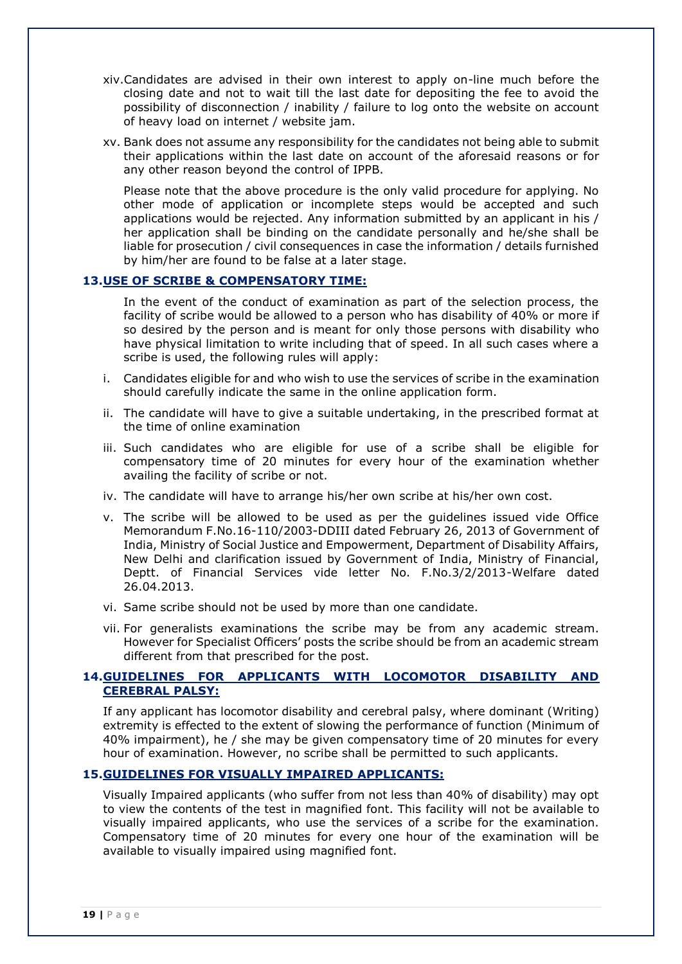- xiv.Candidates are advised in their own interest to apply on-line much before the closing date and not to wait till the last date for depositing the fee to avoid the possibility of disconnection / inability / failure to log onto the website on account of heavy load on internet / website jam.
- xv. Bank does not assume any responsibility for the candidates not being able to submit their applications within the last date on account of the aforesaid reasons or for any other reason beyond the control of IPPB.

Please note that the above procedure is the only valid procedure for applying. No other mode of application or incomplete steps would be accepted and such applications would be rejected. Any information submitted by an applicant in his / her application shall be binding on the candidate personally and he/she shall be liable for prosecution / civil consequences in case the information / details furnished by him/her are found to be false at a later stage.

### **13.USE OF SCRIBE & COMPENSATORY TIME:**

In the event of the conduct of examination as part of the selection process, the facility of scribe would be allowed to a person who has disability of 40% or more if so desired by the person and is meant for only those persons with disability who have physical limitation to write including that of speed. In all such cases where a scribe is used, the following rules will apply:

- i. Candidates eligible for and who wish to use the services of scribe in the examination should carefully indicate the same in the online application form.
- ii. The candidate will have to give a suitable undertaking, in the prescribed format at the time of online examination
- iii. Such candidates who are eligible for use of a scribe shall be eligible for compensatory time of 20 minutes for every hour of the examination whether availing the facility of scribe or not.
- iv. The candidate will have to arrange his/her own scribe at his/her own cost.
- v. The scribe will be allowed to be used as per the guidelines issued vide Office Memorandum F.No.16-110/2003-DDIII dated February 26, 2013 of Government of India, Ministry of Social Justice and Empowerment, Department of Disability Affairs, New Delhi and clarification issued by Government of India, Ministry of Financial, Deptt. of Financial Services vide letter No. F.No.3/2/2013-Welfare dated 26.04.2013.
- vi. Same scribe should not be used by more than one candidate.
- vii. For generalists examinations the scribe may be from any academic stream. However for Specialist Officers' posts the scribe should be from an academic stream different from that prescribed for the post.

### **14.GUIDELINES FOR APPLICANTS WITH LOCOMOTOR DISABILITY AND CEREBRAL PALSY:**

If any applicant has locomotor disability and cerebral palsy, where dominant (Writing) extremity is effected to the extent of slowing the performance of function (Minimum of 40% impairment), he / she may be given compensatory time of 20 minutes for every hour of examination. However, no scribe shall be permitted to such applicants.

#### **15.GUIDELINES FOR VISUALLY IMPAIRED APPLICANTS:**

Visually Impaired applicants (who suffer from not less than 40% of disability) may opt to view the contents of the test in magnified font. This facility will not be available to visually impaired applicants, who use the services of a scribe for the examination. Compensatory time of 20 minutes for every one hour of the examination will be available to visually impaired using magnified font.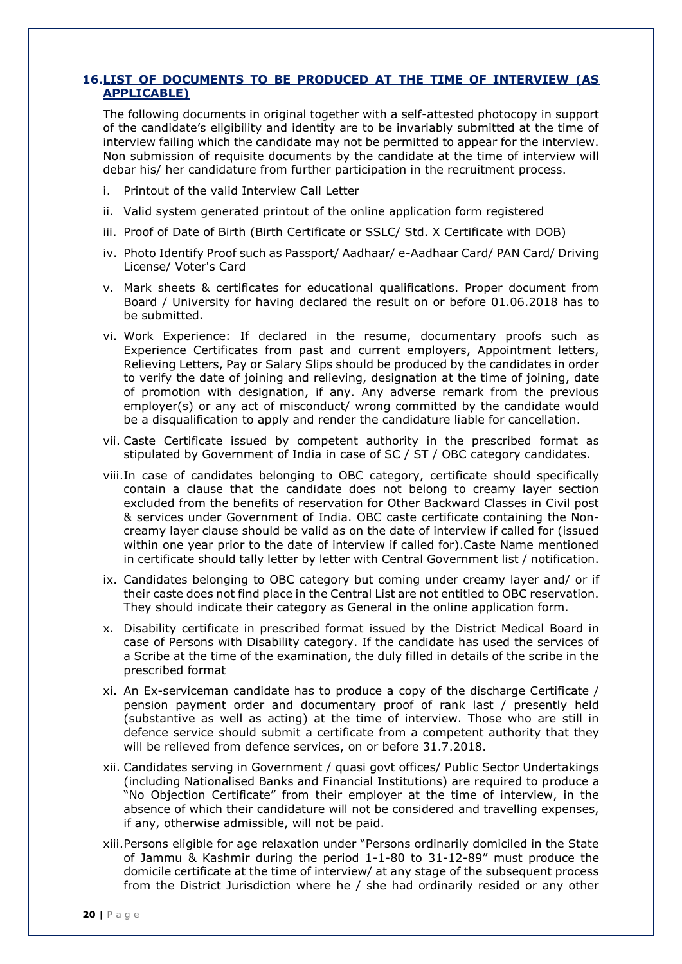### **16.LIST OF DOCUMENTS TO BE PRODUCED AT THE TIME OF INTERVIEW (AS APPLICABLE)**

The following documents in original together with a self-attested photocopy in support of the candidate's eligibility and identity are to be invariably submitted at the time of interview failing which the candidate may not be permitted to appear for the interview. Non submission of requisite documents by the candidate at the time of interview will debar his/ her candidature from further participation in the recruitment process.

- i. Printout of the valid Interview Call Letter
- ii. Valid system generated printout of the online application form registered
- iii. Proof of Date of Birth (Birth Certificate or SSLC/ Std. X Certificate with DOB)
- iv. Photo Identify Proof such as Passport/ Aadhaar/ e-Aadhaar Card/ PAN Card/ Driving License/ Voter's Card
- v. Mark sheets & certificates for educational qualifications. Proper document from Board / University for having declared the result on or before 01.06.2018 has to be submitted.
- vi. Work Experience: If declared in the resume, documentary proofs such as Experience Certificates from past and current employers, Appointment letters, Relieving Letters, Pay or Salary Slips should be produced by the candidates in order to verify the date of joining and relieving, designation at the time of joining, date of promotion with designation, if any. Any adverse remark from the previous employer(s) or any act of misconduct/ wrong committed by the candidate would be a disqualification to apply and render the candidature liable for cancellation.
- vii. Caste Certificate issued by competent authority in the prescribed format as stipulated by Government of India in case of SC / ST / OBC category candidates.
- viii.In case of candidates belonging to OBC category, certificate should specifically contain a clause that the candidate does not belong to creamy layer section excluded from the benefits of reservation for Other Backward Classes in Civil post & services under Government of India. OBC caste certificate containing the Noncreamy layer clause should be valid as on the date of interview if called for (issued within one year prior to the date of interview if called for).Caste Name mentioned in certificate should tally letter by letter with Central Government list / notification.
- ix. Candidates belonging to OBC category but coming under creamy layer and/ or if their caste does not find place in the Central List are not entitled to OBC reservation. They should indicate their category as General in the online application form.
- x. Disability certificate in prescribed format issued by the District Medical Board in case of Persons with Disability category. If the candidate has used the services of a Scribe at the time of the examination, the duly filled in details of the scribe in the prescribed format
- xi. An Ex-serviceman candidate has to produce a copy of the discharge Certificate / pension payment order and documentary proof of rank last / presently held (substantive as well as acting) at the time of interview. Those who are still in defence service should submit a certificate from a competent authority that they will be relieved from defence services, on or before 31.7.2018.
- xii. Candidates serving in Government / quasi govt offices/ Public Sector Undertakings (including Nationalised Banks and Financial Institutions) are required to produce a "No Objection Certificate" from their employer at the time of interview, in the absence of which their candidature will not be considered and travelling expenses, if any, otherwise admissible, will not be paid.
- xiii.Persons eligible for age relaxation under "Persons ordinarily domiciled in the State of Jammu & Kashmir during the period 1-1-80 to 31-12-89" must produce the domicile certificate at the time of interview/ at any stage of the subsequent process from the District Jurisdiction where he / she had ordinarily resided or any other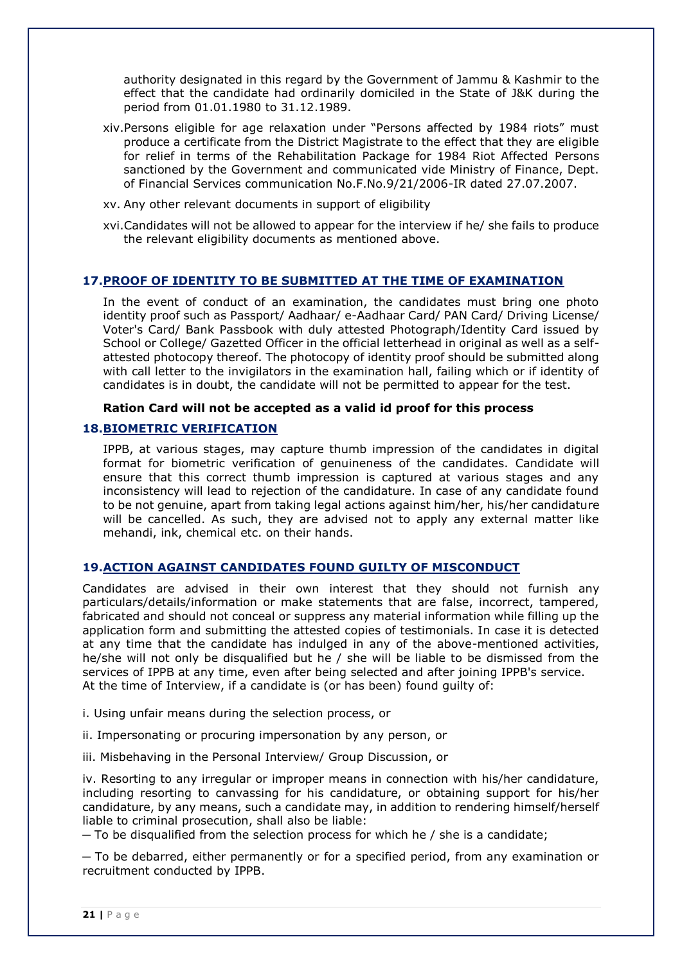authority designated in this regard by the Government of Jammu & Kashmir to the effect that the candidate had ordinarily domiciled in the State of J&K during the period from 01.01.1980 to 31.12.1989.

- xiv.Persons eligible for age relaxation under "Persons affected by 1984 riots" must produce a certificate from the District Magistrate to the effect that they are eligible for relief in terms of the Rehabilitation Package for 1984 Riot Affected Persons sanctioned by the Government and communicated vide Ministry of Finance, Dept. of Financial Services communication No.F.No.9/21/2006-IR dated 27.07.2007.
- xv. Any other relevant documents in support of eligibility
- xvi.Candidates will not be allowed to appear for the interview if he/ she fails to produce the relevant eligibility documents as mentioned above.

#### **17.PROOF OF IDENTITY TO BE SUBMITTED AT THE TIME OF EXAMINATION**

In the event of conduct of an examination, the candidates must bring one photo identity proof such as Passport/ Aadhaar/ e-Aadhaar Card/ PAN Card/ Driving License/ Voter's Card/ Bank Passbook with duly attested Photograph/Identity Card issued by School or College/ Gazetted Officer in the official letterhead in original as well as a selfattested photocopy thereof. The photocopy of identity proof should be submitted along with call letter to the invigilators in the examination hall, failing which or if identity of candidates is in doubt, the candidate will not be permitted to appear for the test.

#### **Ration Card will not be accepted as a valid id proof for this process**

#### **18.BIOMETRIC VERIFICATION**

IPPB, at various stages, may capture thumb impression of the candidates in digital format for biometric verification of genuineness of the candidates. Candidate will ensure that this correct thumb impression is captured at various stages and any inconsistency will lead to rejection of the candidature. In case of any candidate found to be not genuine, apart from taking legal actions against him/her, his/her candidature will be cancelled. As such, they are advised not to apply any external matter like mehandi, ink, chemical etc. on their hands.

#### **19.ACTION AGAINST CANDIDATES FOUND GUILTY OF MISCONDUCT**

Candidates are advised in their own interest that they should not furnish any particulars/details/information or make statements that are false, incorrect, tampered, fabricated and should not conceal or suppress any material information while filling up the application form and submitting the attested copies of testimonials. In case it is detected at any time that the candidate has indulged in any of the above-mentioned activities, he/she will not only be disqualified but he / she will be liable to be dismissed from the services of IPPB at any time, even after being selected and after joining IPPB's service. At the time of Interview, if a candidate is (or has been) found guilty of:

i. Using unfair means during the selection process, or

ii. Impersonating or procuring impersonation by any person, or

iii. Misbehaving in the Personal Interview/ Group Discussion, or

iv. Resorting to any irregular or improper means in connection with his/her candidature, including resorting to canvassing for his candidature, or obtaining support for his/her candidature, by any means, such a candidate may, in addition to rendering himself/herself liable to criminal prosecution, shall also be liable:

 $-$  To be disqualified from the selection process for which he  $/$  she is a candidate;

─ To be debarred, either permanently or for a specified period, from any examination or recruitment conducted by IPPB.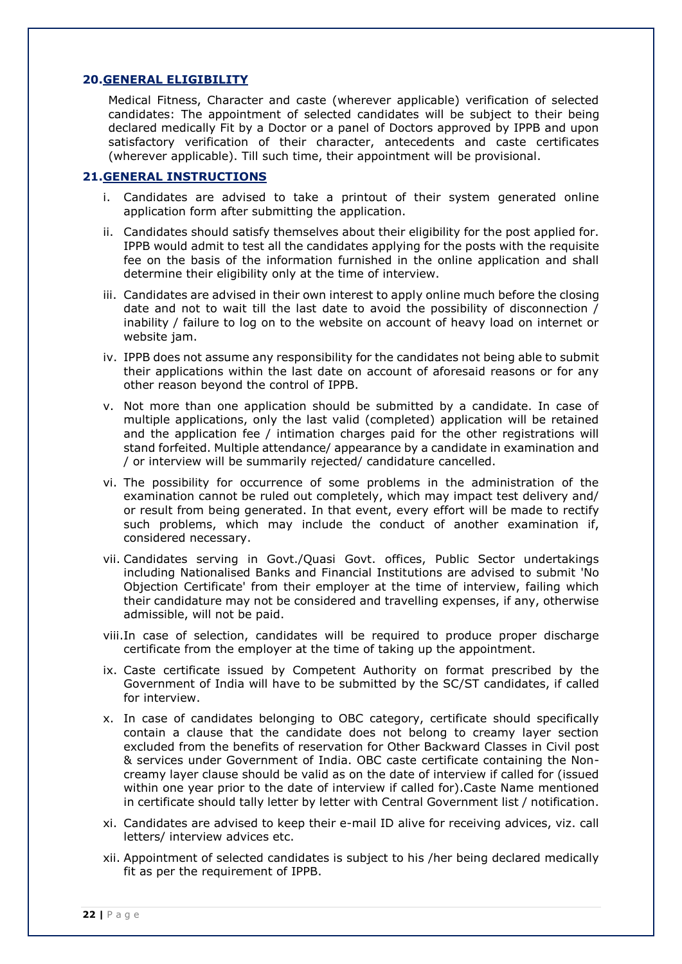#### **20.GENERAL ELIGIBILITY**

Medical Fitness, Character and caste (wherever applicable) verification of selected candidates: The appointment of selected candidates will be subject to their being declared medically Fit by a Doctor or a panel of Doctors approved by IPPB and upon satisfactory verification of their character, antecedents and caste certificates (wherever applicable). Till such time, their appointment will be provisional.

#### **21.GENERAL INSTRUCTIONS**

- i. Candidates are advised to take a printout of their system generated online application form after submitting the application.
- ii. Candidates should satisfy themselves about their eligibility for the post applied for. IPPB would admit to test all the candidates applying for the posts with the requisite fee on the basis of the information furnished in the online application and shall determine their eligibility only at the time of interview.
- iii. Candidates are advised in their own interest to apply online much before the closing date and not to wait till the last date to avoid the possibility of disconnection / inability / failure to log on to the website on account of heavy load on internet or website jam.
- iv. IPPB does not assume any responsibility for the candidates not being able to submit their applications within the last date on account of aforesaid reasons or for any other reason beyond the control of IPPB.
- v. Not more than one application should be submitted by a candidate. In case of multiple applications, only the last valid (completed) application will be retained and the application fee / intimation charges paid for the other registrations will stand forfeited. Multiple attendance/ appearance by a candidate in examination and / or interview will be summarily rejected/ candidature cancelled.
- vi. The possibility for occurrence of some problems in the administration of the examination cannot be ruled out completely, which may impact test delivery and/ or result from being generated. In that event, every effort will be made to rectify such problems, which may include the conduct of another examination if, considered necessary.
- vii. Candidates serving in Govt./Quasi Govt. offices, Public Sector undertakings including Nationalised Banks and Financial Institutions are advised to submit 'No Objection Certificate' from their employer at the time of interview, failing which their candidature may not be considered and travelling expenses, if any, otherwise admissible, will not be paid.
- viii.In case of selection, candidates will be required to produce proper discharge certificate from the employer at the time of taking up the appointment.
- ix. Caste certificate issued by Competent Authority on format prescribed by the Government of India will have to be submitted by the SC/ST candidates, if called for interview.
- x. In case of candidates belonging to OBC category, certificate should specifically contain a clause that the candidate does not belong to creamy layer section excluded from the benefits of reservation for Other Backward Classes in Civil post & services under Government of India. OBC caste certificate containing the Noncreamy layer clause should be valid as on the date of interview if called for (issued within one year prior to the date of interview if called for).Caste Name mentioned in certificate should tally letter by letter with Central Government list / notification.
- xi. Candidates are advised to keep their e-mail ID alive for receiving advices, viz. call letters/ interview advices etc.
- xii. Appointment of selected candidates is subject to his /her being declared medically fit as per the requirement of IPPB.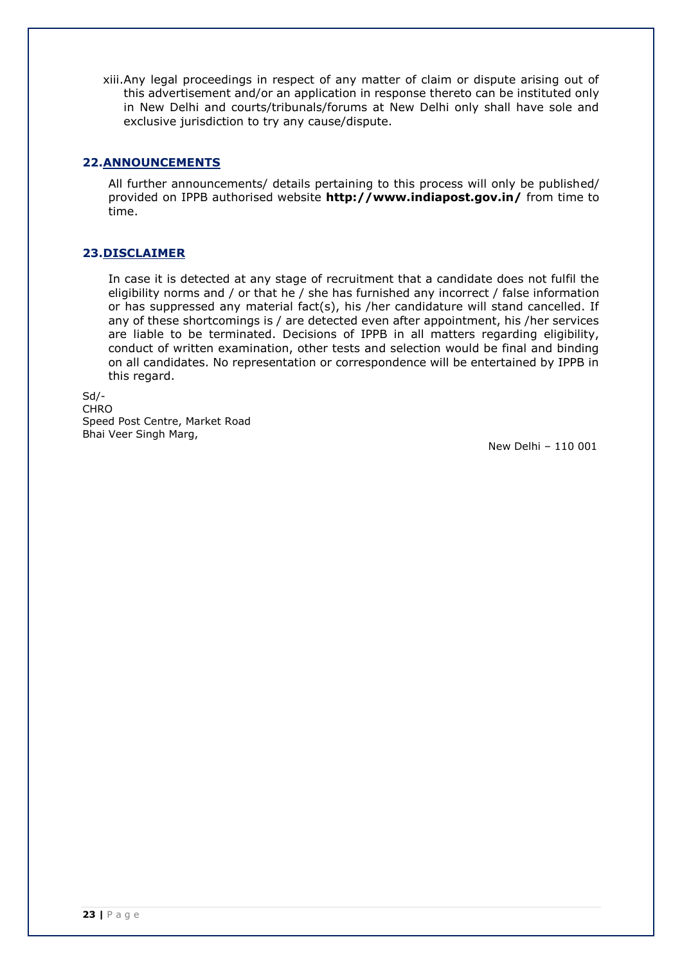xiii.Any legal proceedings in respect of any matter of claim or dispute arising out of this advertisement and/or an application in response thereto can be instituted only in New Delhi and courts/tribunals/forums at New Delhi only shall have sole and exclusive jurisdiction to try any cause/dispute.

### **22.ANNOUNCEMENTS**

All further announcements/ details pertaining to this process will only be published/ provided on IPPB authorised website **<http://www.indiapost.gov.in/>** from time to time.

### **23.DISCLAIMER**

In case it is detected at any stage of recruitment that a candidate does not fulfil the eligibility norms and / or that he / she has furnished any incorrect / false information or has suppressed any material fact(s), his /her candidature will stand cancelled. If any of these shortcomings is / are detected even after appointment, his /her services are liable to be terminated. Decisions of IPPB in all matters regarding eligibility, conduct of written examination, other tests and selection would be final and binding on all candidates. No representation or correspondence will be entertained by IPPB in this regard.

Sd/- CHRO Speed Post Centre, Market Road Bhai Veer Singh Marg,

New Delhi – 110 001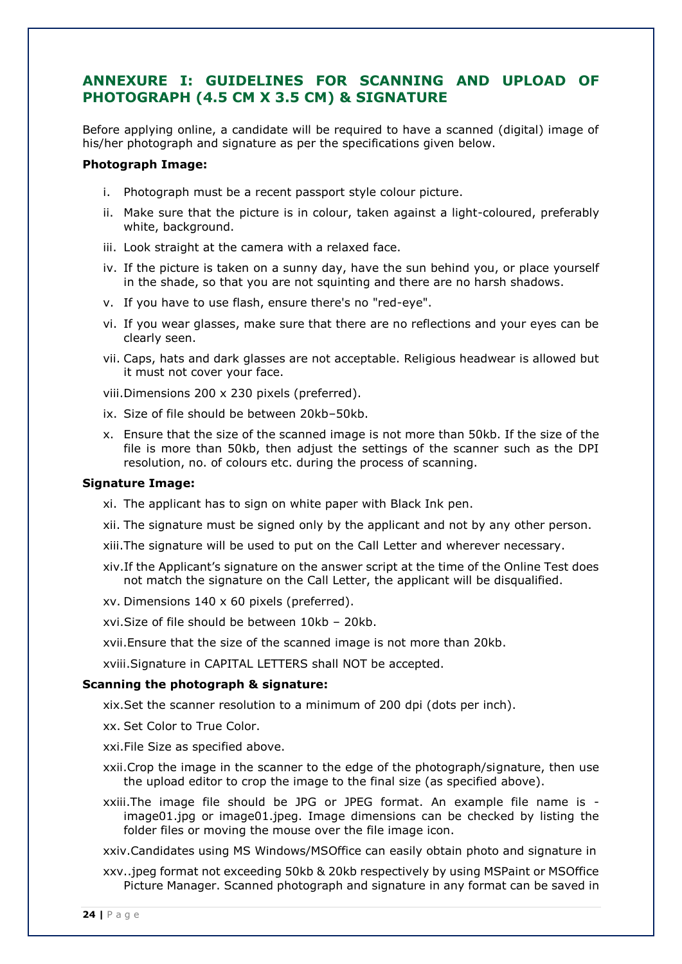# **ANNEXURE I: GUIDELINES FOR SCANNING AND UPLOAD OF PHOTOGRAPH (4.5 CM X 3.5 CM) & SIGNATURE**

Before applying online, a candidate will be required to have a scanned (digital) image of his/her photograph and signature as per the specifications given below.

#### **Photograph Image:**

- i. Photograph must be a recent passport style colour picture.
- ii. Make sure that the picture is in colour, taken against a light-coloured, preferably white, background.
- iii. Look straight at the camera with a relaxed face.
- iv. If the picture is taken on a sunny day, have the sun behind you, or place yourself in the shade, so that you are not squinting and there are no harsh shadows.
- v. If you have to use flash, ensure there's no "red-eye".
- vi. If you wear glasses, make sure that there are no reflections and your eyes can be clearly seen.
- vii. Caps, hats and dark glasses are not acceptable. Religious headwear is allowed but it must not cover your face.
- viii.Dimensions 200 x 230 pixels (preferred).
- ix. Size of file should be between 20kb–50kb.
- x. Ensure that the size of the scanned image is not more than 50kb. If the size of the file is more than 50kb, then adjust the settings of the scanner such as the DPI resolution, no. of colours etc. during the process of scanning.

#### **Signature Image:**

- xi. The applicant has to sign on white paper with Black Ink pen.
- xii. The signature must be signed only by the applicant and not by any other person.
- xiii.The signature will be used to put on the Call Letter and wherever necessary.
- xiv.If the Applicant's signature on the answer script at the time of the Online Test does not match the signature on the Call Letter, the applicant will be disqualified.
- xv. Dimensions 140 x 60 pixels (preferred).
- xvi.Size of file should be between 10kb 20kb.
- xvii.Ensure that the size of the scanned image is not more than 20kb.

xviii.Signature in CAPITAL LETTERS shall NOT be accepted.

#### **Scanning the photograph & signature:**

xix.Set the scanner resolution to a minimum of 200 dpi (dots per inch).

xx. Set Color to True Color.

- xxi.File Size as specified above.
- xxii.Crop the image in the scanner to the edge of the photograph/signature, then use the upload editor to crop the image to the final size (as specified above).
- xxiii.The image file should be JPG or JPEG format. An example file name is image01.jpg or image01.jpeg. Image dimensions can be checked by listing the folder files or moving the mouse over the file image icon.

xxiv.Candidates using MS Windows/MSOffice can easily obtain photo and signature in

xxv..jpeg format not exceeding 50kb & 20kb respectively by using MSPaint or MSOffice Picture Manager. Scanned photograph and signature in any format can be saved in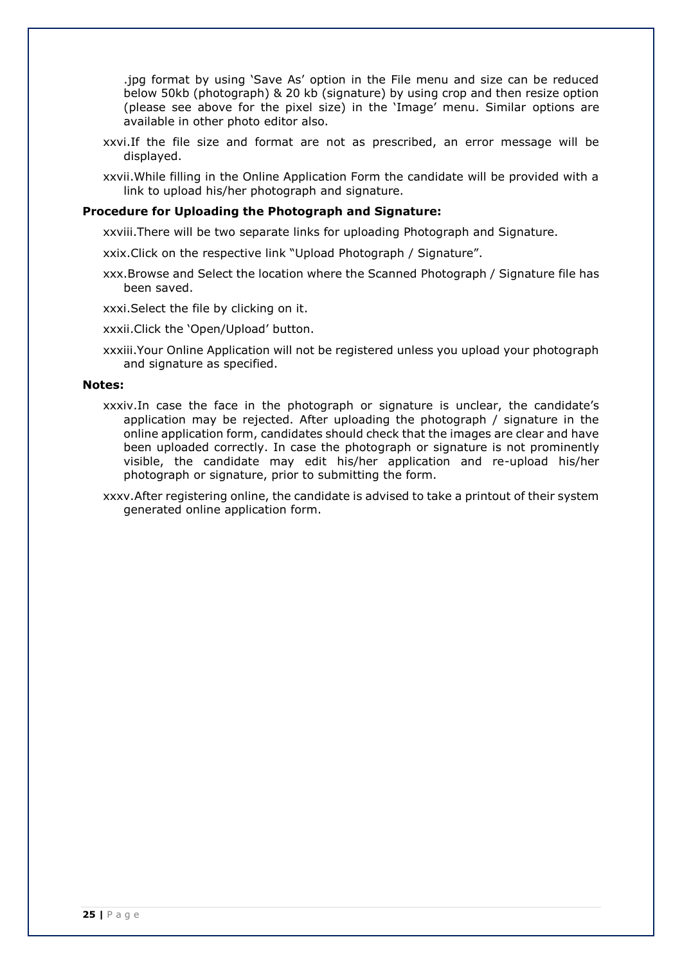.jpg format by using 'Save As' option in the File menu and size can be reduced below 50kb (photograph) & 20 kb (signature) by using crop and then resize option (please see above for the pixel size) in the 'Image' menu. Similar options are available in other photo editor also.

- xxvi.If the file size and format are not as prescribed, an error message will be displayed.
- xxvii.While filling in the Online Application Form the candidate will be provided with a link to upload his/her photograph and signature.

#### **Procedure for Uploading the Photograph and Signature:**

xxviii.There will be two separate links for uploading Photograph and Signature.

xxix.Click on the respective link "Upload Photograph / Signature".

xxx.Browse and Select the location where the Scanned Photograph / Signature file has been saved.

xxxi.Select the file by clicking on it.

xxxii.Click the 'Open/Upload' button.

xxxiii.Your Online Application will not be registered unless you upload your photograph and signature as specified.

#### **Notes:**

- xxxiv.In case the face in the photograph or signature is unclear, the candidate's application may be rejected. After uploading the photograph / signature in the online application form, candidates should check that the images are clear and have been uploaded correctly. In case the photograph or signature is not prominently visible, the candidate may edit his/her application and re-upload his/her photograph or signature, prior to submitting the form.
- xxxv.After registering online, the candidate is advised to take a printout of their system generated online application form.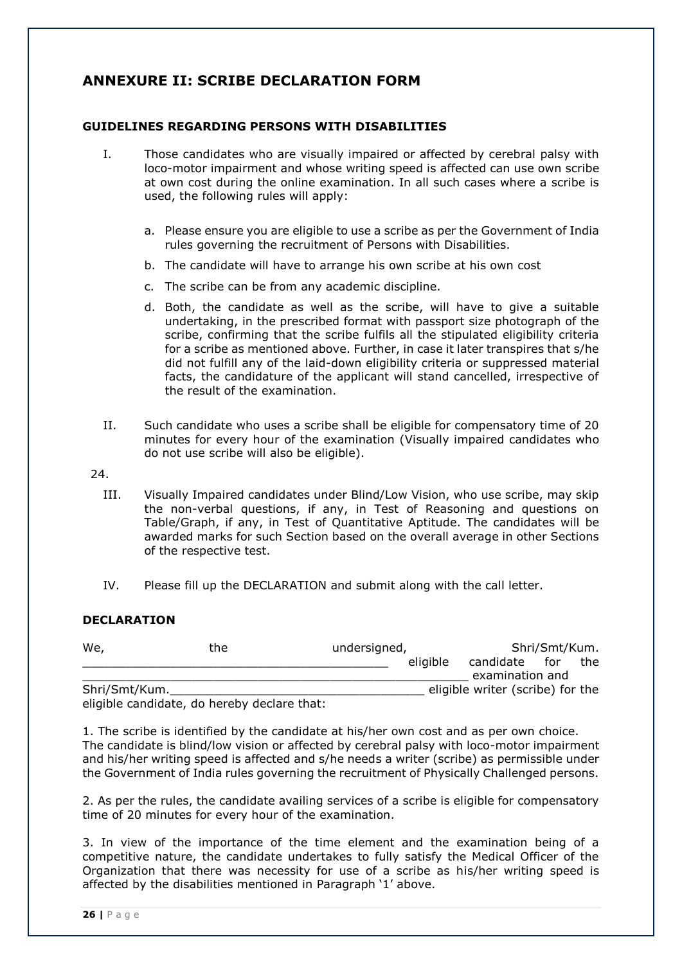# **ANNEXURE II: SCRIBE DECLARATION FORM**

### **GUIDELINES REGARDING PERSONS WITH DISABILITIES**

- I. Those candidates who are visually impaired or affected by cerebral palsy with loco-motor impairment and whose writing speed is affected can use own scribe at own cost during the online examination. In all such cases where a scribe is used, the following rules will apply:
	- a. Please ensure you are eligible to use a scribe as per the Government of India rules governing the recruitment of Persons with Disabilities.
	- b. The candidate will have to arrange his own scribe at his own cost
	- c. The scribe can be from any academic discipline.
	- d. Both, the candidate as well as the scribe, will have to give a suitable undertaking, in the prescribed format with passport size photograph of the scribe, confirming that the scribe fulfils all the stipulated eligibility criteria for a scribe as mentioned above. Further, in case it later transpires that s/he did not fulfill any of the laid-down eligibility criteria or suppressed material facts, the candidature of the applicant will stand cancelled, irrespective of the result of the examination.
- II. Such candidate who uses a scribe shall be eligible for compensatory time of 20 minutes for every hour of the examination (Visually impaired candidates who do not use scribe will also be eligible).
- 24.
	- III. Visually Impaired candidates under Blind/Low Vision, who use scribe, may skip the non-verbal questions, if any, in Test of Reasoning and questions on Table/Graph, if any, in Test of Quantitative Aptitude. The candidates will be awarded marks for such Section based on the overall average in other Sections of the respective test.
	- IV. Please fill up the DECLARATION and submit along with the call letter.

#### **DECLARATION**

| We,           | the                                        | undersigned, |          |                                  | Shri/Smt/Kum. |     |
|---------------|--------------------------------------------|--------------|----------|----------------------------------|---------------|-----|
|               |                                            |              | eligible | candidate for                    |               | the |
|               |                                            |              |          | examination and                  |               |     |
| Shri/Smt/Kum. |                                            |              |          | eligible writer (scribe) for the |               |     |
|               | aligible candidate do hereby declare that: |              |          |                                  |               |     |

eligible candidate, do hereby declare that:

1. The scribe is identified by the candidate at his/her own cost and as per own choice. The candidate is blind/low vision or affected by cerebral palsy with loco-motor impairment and his/her writing speed is affected and s/he needs a writer (scribe) as permissible under the Government of India rules governing the recruitment of Physically Challenged persons.

2. As per the rules, the candidate availing services of a scribe is eligible for compensatory time of 20 minutes for every hour of the examination.

3. In view of the importance of the time element and the examination being of a competitive nature, the candidate undertakes to fully satisfy the Medical Officer of the Organization that there was necessity for use of a scribe as his/her writing speed is affected by the disabilities mentioned in Paragraph '1' above.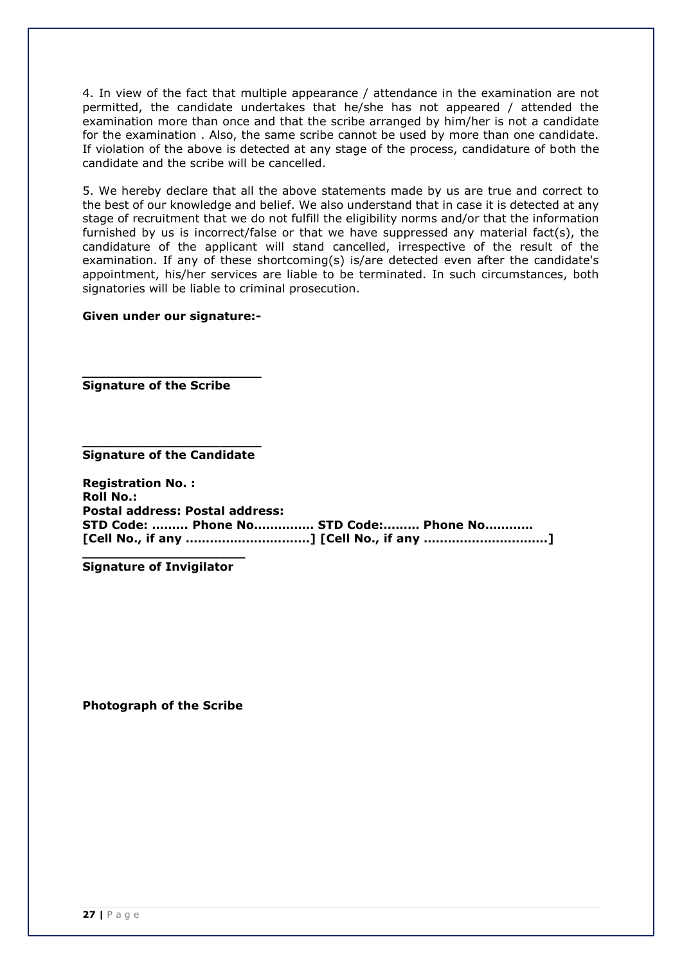4. In view of the fact that multiple appearance / attendance in the examination are not permitted, the candidate undertakes that he/she has not appeared / attended the examination more than once and that the scribe arranged by him/her is not a candidate for the examination . Also, the same scribe cannot be used by more than one candidate. If violation of the above is detected at any stage of the process, candidature of both the candidate and the scribe will be cancelled.

5. We hereby declare that all the above statements made by us are true and correct to the best of our knowledge and belief. We also understand that in case it is detected at any stage of recruitment that we do not fulfill the eligibility norms and/or that the information furnished by us is incorrect/false or that we have suppressed any material fact(s), the candidature of the applicant will stand cancelled, irrespective of the result of the examination. If any of these shortcoming(s) is/are detected even after the candidate's appointment, his/her services are liable to be terminated. In such circumstances, both signatories will be liable to criminal prosecution.

#### **Given under our signature:-**

**\_\_\_\_\_\_\_\_\_\_\_\_\_\_\_\_\_\_\_\_\_\_** 

**Signature of the Scribe**

**\_\_\_\_\_\_\_\_\_\_\_\_\_\_\_\_\_\_\_\_\_\_ Signature of the Candidate**

**Registration No. : Roll No.: Postal address: Postal address: STD Code: ……... Phone No…………… STD Code:……… Phone No………… [Cell No., if any ………………………….] [Cell No., if any ………………………….]**

**\_\_\_\_\_\_\_\_\_\_\_\_\_\_\_\_\_\_\_\_ Signature of Invigilator**

**Photograph of the Scribe**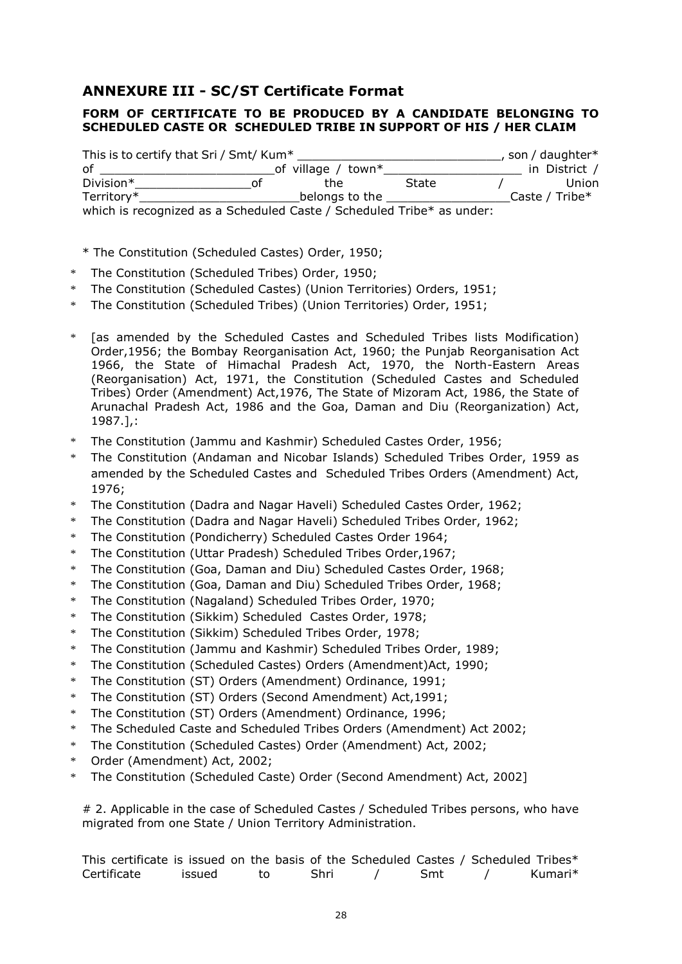# **ANNEXURE III - SC/ST Certificate Format**

# **FORM OF CERTIFICATE TO BE PRODUCED BY A CANDIDATE BELONGING TO SCHEDULED CASTE OR SCHEDULED TRIBE IN SUPPORT OF HIS / HER CLAIM**

| This is to certify that Sri / Smt/ Kum*                               | , son / daughter* |                    |       |                   |
|-----------------------------------------------------------------------|-------------------|--------------------|-------|-------------------|
| 0f                                                                    |                   | of village / town* |       | in District /     |
| Division*                                                             | Ωt                | the                | State | Union             |
| Territory*                                                            |                   | belongs to the     |       | Caste / Tribe $*$ |
| which is recognized as a Scheduled Caste / Scheduled Tribe* as under: |                   |                    |       |                   |

- \* The Constitution (Scheduled Castes) Order, 1950;
- \* The Constitution (Scheduled Tribes) Order, 1950;
- \* The Constitution (Scheduled Castes) (Union Territories) Orders, 1951;
- The Constitution (Scheduled Tribes) (Union Territories) Order, 1951;
- \* [as amended by the Scheduled Castes and Scheduled Tribes lists Modification) Order,1956; the Bombay Reorganisation Act, 1960; the Punjab Reorganisation Act 1966, the State of Himachal Pradesh Act, 1970, the North-Eastern Areas (Reorganisation) Act, 1971, the Constitution (Scheduled Castes and Scheduled Tribes) Order (Amendment) Act,1976, The State of Mizoram Act, 1986, the State of Arunachal Pradesh Act, 1986 and the Goa, Daman and Diu (Reorganization) Act, 1987.],:
- The Constitution (Jammu and Kashmir) Scheduled Castes Order, 1956;
- \* The Constitution (Andaman and Nicobar Islands) Scheduled Tribes Order, 1959 as amended by the Scheduled Castes and Scheduled Tribes Orders (Amendment) Act, 1976;
- \* The Constitution (Dadra and Nagar Haveli) Scheduled Castes Order, 1962;
- \* The Constitution (Dadra and Nagar Haveli) Scheduled Tribes Order, 1962;
- \* The Constitution (Pondicherry) Scheduled Castes Order 1964;
- \* The Constitution (Uttar Pradesh) Scheduled Tribes Order,1967;
- \* The Constitution (Goa, Daman and Diu) Scheduled Castes Order, 1968;
- \* The Constitution (Goa, Daman and Diu) Scheduled Tribes Order, 1968;
- \* The Constitution (Nagaland) Scheduled Tribes Order, 1970;
- \* The Constitution (Sikkim) Scheduled Castes Order, 1978;
- \* The Constitution (Sikkim) Scheduled Tribes Order, 1978;
- \* The Constitution (Jammu and Kashmir) Scheduled Tribes Order, 1989;
- \* The Constitution (Scheduled Castes) Orders (Amendment)Act, 1990;
- \* The Constitution (ST) Orders (Amendment) Ordinance, 1991;
- \* The Constitution (ST) Orders (Second Amendment) Act,1991;
- \* The Constitution (ST) Orders (Amendment) Ordinance, 1996;
- \* The Scheduled Caste and Scheduled Tribes Orders (Amendment) Act 2002;
- \* The Constitution (Scheduled Castes) Order (Amendment) Act, 2002;
- \* Order (Amendment) Act, 2002;
- \* The Constitution (Scheduled Caste) Order (Second Amendment) Act, 2002]

# 2. Applicable in the case of Scheduled Castes / Scheduled Tribes persons, who have migrated from one State / Union Territory Administration.

This certificate is issued on the basis of the Scheduled Castes / Scheduled Tribes\* Certificate issued to Shri / Smt / Kumari\*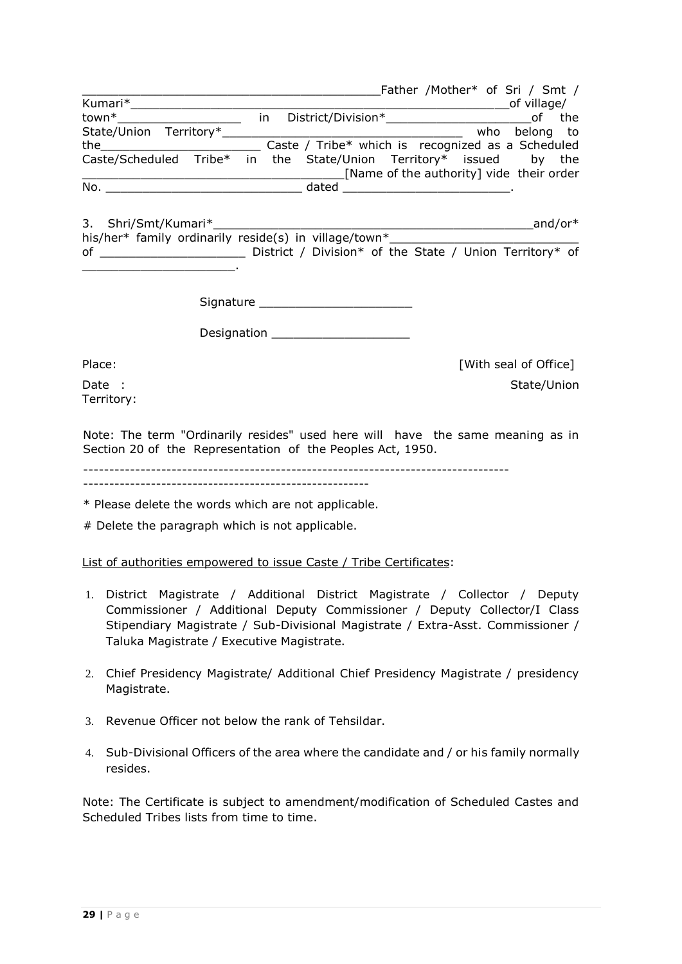|                                                                    |               |                                                                                                                                                                                                                                                                                                                                                                         |  | Father /Mother* of Sri / Smt /           |     |
|--------------------------------------------------------------------|---------------|-------------------------------------------------------------------------------------------------------------------------------------------------------------------------------------------------------------------------------------------------------------------------------------------------------------------------------------------------------------------------|--|------------------------------------------|-----|
| Kumari*                                                            |               |                                                                                                                                                                                                                                                                                                                                                                         |  | of village/                              |     |
| town*                                                              | $\mathsf{In}$ |                                                                                                                                                                                                                                                                                                                                                                         |  |                                          | the |
| State/Union Territory*                                             |               |                                                                                                                                                                                                                                                                                                                                                                         |  | who belong to                            |     |
| the $\qquad \qquad$                                                |               | Caste / Tribe* which is recognized as a Scheduled                                                                                                                                                                                                                                                                                                                       |  |                                          |     |
| Caste/Scheduled Tribe* in the State/Union Territory* issued by the |               |                                                                                                                                                                                                                                                                                                                                                                         |  |                                          |     |
|                                                                    |               |                                                                                                                                                                                                                                                                                                                                                                         |  | [Name of the authority] vide their order |     |
| No.                                                                |               | $\begin{picture}(180,10) \put(0,0){\dashbox{0.5}(10,0){ }} \put(15,0){\dashbox{0.5}(10,0){ }} \put(15,0){\dashbox{0.5}(10,0){ }} \put(15,0){\dashbox{0.5}(10,0){ }} \put(15,0){\dashbox{0.5}(10,0){ }} \put(15,0){\dashbox{0.5}(10,0){ }} \put(15,0){\dashbox{0.5}(10,0){ }} \put(15,0){\dashbox{0.5}(10,0){ }} \put(15,0){\dashbox{0.5}(10,0){ }} \put(15,0){\dashbox$ |  |                                          |     |
|                                                                    |               |                                                                                                                                                                                                                                                                                                                                                                         |  |                                          |     |

3. Shri/Smt/Kumari\*\_\_\_\_\_\_\_\_\_\_\_\_\_\_\_\_\_\_\_\_\_\_\_\_\_\_\_\_\_\_\_\_\_\_\_\_\_\_\_\_\_\_\_\_and/or\* his/her\* family ordinarily reside(s) in village/town $*$ of \_\_\_\_\_\_\_\_\_\_\_\_\_\_\_\_\_\_\_\_ District / Division\* of the State / Union Territory\* of \_\_\_\_\_\_\_\_\_\_\_\_\_\_\_\_\_\_\_\_\_.

Signature \_\_\_\_\_\_\_\_\_\_\_\_\_\_\_\_\_\_\_\_\_

Designation **Designation** 

Place: Place: [With seal of Office] Date : State/Union

Territory:

Note: The term "Ordinarily resides" used here will have the same meaning as in Section 20 of the Representation of the Peoples Act, 1950.

----------------------------------------------------------------------------------

-------------------------------------------------------

\* Please delete the words which are not applicable.

# Delete the paragraph which is not applicable.

List of authorities empowered to issue Caste / Tribe Certificates:

- 1. District Magistrate / Additional District Magistrate / Collector / Deputy Commissioner / Additional Deputy Commissioner / Deputy Collector/I Class Stipendiary Magistrate / Sub-Divisional Magistrate / Extra-Asst. Commissioner / Taluka Magistrate / Executive Magistrate.
- 2. Chief Presidency Magistrate/ Additional Chief Presidency Magistrate / presidency Magistrate.
- 3. Revenue Officer not below the rank of Tehsildar.
- 4. Sub-Divisional Officers of the area where the candidate and / or his family normally resides.

Note: The Certificate is subject to amendment/modification of Scheduled Castes and Scheduled Tribes lists from time to time.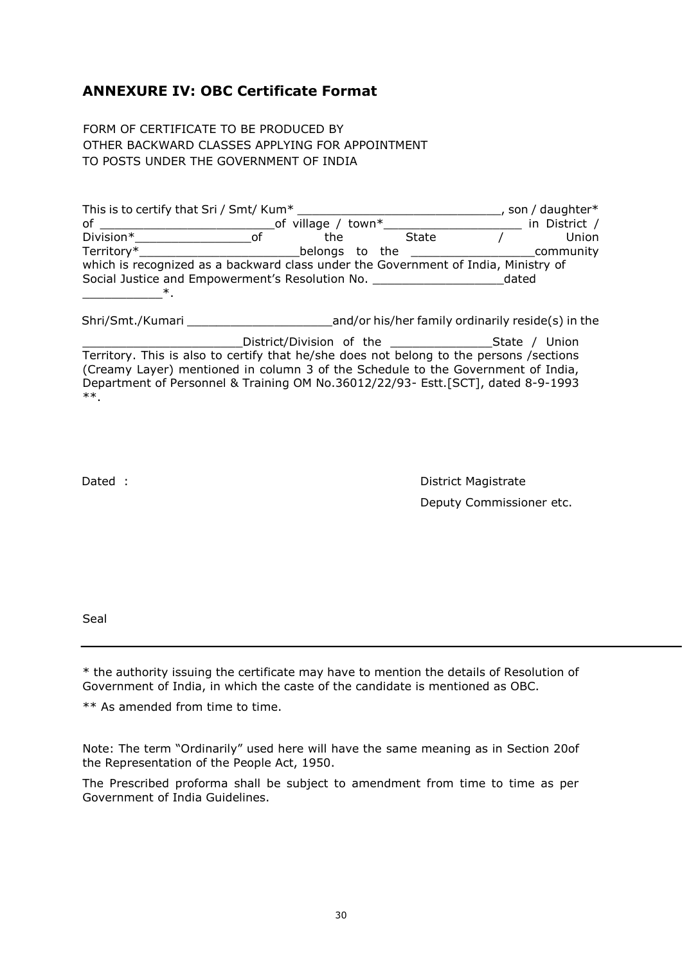# **ANNEXURE IV: OBC Certificate Format**

FORM OF CERTIFICATE TO BE PRODUCED BY OTHER BACKWARD CLASSES APPLYING FOR APPOINTMENT TO POSTS UNDER THE GOVERNMENT OF INDIA

| This is to certify that Sri / Smt/ Kum*                                            |                    |                                                                                                                 | , son / daughter* |
|------------------------------------------------------------------------------------|--------------------|-----------------------------------------------------------------------------------------------------------------|-------------------|
| оf                                                                                 | of village / town* |                                                                                                                 | in District /     |
| Division*<br>nt                                                                    | the                | State                                                                                                           | Union             |
| Territory*                                                                         |                    | belongs to the state of the state of the state of the state of the state of the state of the state of the state | community         |
| which is recognized as a backward class under the Government of India, Ministry of |                    |                                                                                                                 |                   |
| Social Justice and Empowerment's Resolution No.                                    |                    |                                                                                                                 | dated             |
|                                                                                    |                    |                                                                                                                 |                   |

Shri/Smt./Kumari **Example 2018** and/or his/her family ordinarily reside(s) in the

District/Division of the \_\_\_\_\_\_\_\_\_\_\_\_\_\_\_\_\_\_\_State / Union Territory. This is also to certify that he/she does not belong to the persons /sections (Creamy Layer) mentioned in column 3 of the Schedule to the Government of India, Department of Personnel & Training OM No.36012/22/93- Estt.[SCT], dated 8-9-1993 \*\*.

Dated : **District Magistrate** Deputy Commissioner etc.

Seal

\* the authority issuing the certificate may have to mention the details of Resolution of Government of India, in which the caste of the candidate is mentioned as OBC.

\*\* As amended from time to time.

Note: The term "Ordinarily" used here will have the same meaning as in Section 20of the Representation of the People Act, 1950.

The Prescribed proforma shall be subject to amendment from time to time as per Government of India Guidelines.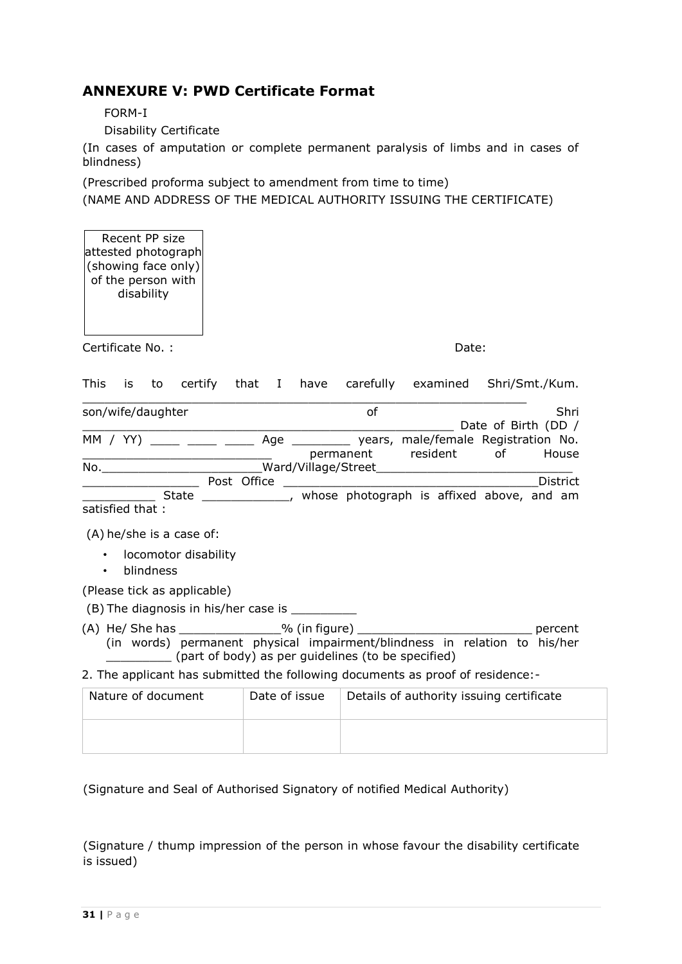# **ANNEXURE V: PWD Certificate Format**

FORM-I

Disability Certificate

(In cases of amputation or complete permanent paralysis of limbs and in cases of blindness)

(Prescribed proforma subject to amendment from time to time) (NAME AND ADDRESS OF THE MEDICAL AUTHORITY ISSUING THE CERTIFICATE)

Recent PP size attested photograph (showing face only) of the person with disability

Certificate No. : Date:

This is to certify that I have carefully examined Shri/Smt./Kum.

| son/wife/daughter                |  |             | οf                  |           | Shri                                                 |                     |          |
|----------------------------------|--|-------------|---------------------|-----------|------------------------------------------------------|---------------------|----------|
|                                  |  |             |                     |           |                                                      | Date of Birth (DD / |          |
| MM / YY) ____ ____ ____          |  |             |                     |           | Age ____________ years, male/female Registration No. |                     |          |
|                                  |  |             |                     | permanent | resident                                             | of                  | House    |
| No.                              |  |             | Ward/Village/Street |           |                                                      |                     |          |
|                                  |  | Post Office |                     |           |                                                      |                     | District |
| State                            |  |             |                     |           | whose photograph is affixed above, and am            |                     |          |
| $\sim$ - $\sim$ find that $\sim$ |  |             |                     |           |                                                      |                     |          |

satisfied that :

(A) he/she is a case of:

- locomotor disability
- blindness

(Please tick as applicable)

 $(B)$  The diagnosis in his/her case is

(A) He/ She has \_\_\_\_\_\_\_\_\_\_\_\_\_\_% (in figure) \_\_\_\_\_\_\_\_\_\_\_\_\_\_\_\_\_\_\_\_\_\_\_\_ percent (in words) permanent physical impairment/blindness in relation to his/her \_\_\_\_\_\_\_\_\_ (part of body) as per guidelines (to be specified)

2. The applicant has submitted the following documents as proof of residence:-

| Nature of document | Date of issue | Details of authority issuing certificate |
|--------------------|---------------|------------------------------------------|
|                    |               |                                          |

(Signature and Seal of Authorised Signatory of notified Medical Authority)

(Signature / thump impression of the person in whose favour the disability certificate is issued)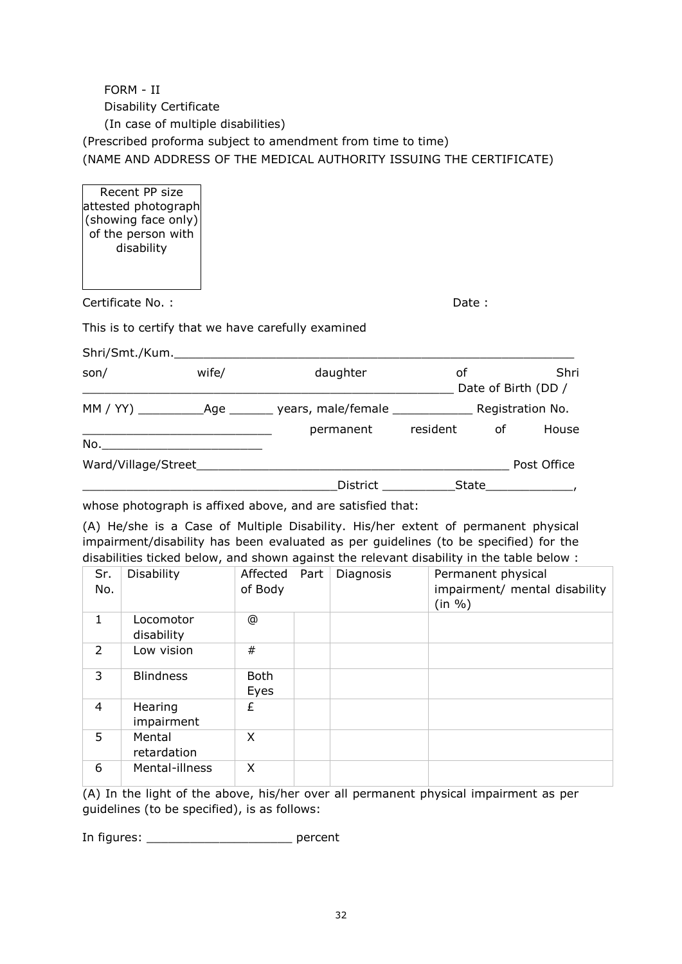# FORM - II Disability Certificate (In case of multiple disabilities) (Prescribed proforma subject to amendment from time to time) (NAME AND ADDRESS OF THE MEDICAL AUTHORITY ISSUING THE CERTIFICATE)

Recent PP size attested photograph (showing face only) of the person with disability

| Certificate No.: | Date: |
|------------------|-------|
|------------------|-------|

This is to certify that we have carefully examined

| Shri/Smt./Kum.      |       |                 |          |    |                             |
|---------------------|-------|-----------------|----------|----|-----------------------------|
| son/                | wife/ | daughter        | оf       |    | Shri<br>Date of Birth (DD / |
|                     |       | permanent       | resident | οf | Registration No.<br>House   |
| No.                 |       |                 |          |    |                             |
| Ward/Village/Street |       |                 |          |    | Post Office                 |
|                     |       | <b>District</b> | State    |    |                             |

whose photograph is affixed above, and are satisfied that:

(A) He/she is a Case of Multiple Disability. His/her extent of permanent physical impairment/disability has been evaluated as per guidelines (to be specified) for the disabilities ticked below, and shown against the relevant disability in the table below :

| Sr.<br>No.    | <b>Disability</b>       | Affected<br>of Body | Part | Diagnosis | Permanent physical<br>impairment/ mental disability<br>(in %) |
|---------------|-------------------------|---------------------|------|-----------|---------------------------------------------------------------|
| 1             | Locomotor<br>disability | @                   |      |           |                                                               |
| $\mathcal{P}$ | Low vision              | #                   |      |           |                                                               |
| 3             | <b>Blindness</b>        | <b>Both</b><br>Eyes |      |           |                                                               |
| 4             | Hearing<br>impairment   | £                   |      |           |                                                               |
| 5             | Mental<br>retardation   | X                   |      |           |                                                               |
| 6             | Mental-illness          | X                   |      |           |                                                               |

(A) In the light of the above, his/her over all permanent physical impairment as per guidelines (to be specified), is as follows:

In figures: \_\_\_\_\_\_\_\_\_\_\_\_\_\_\_\_\_\_\_\_ percent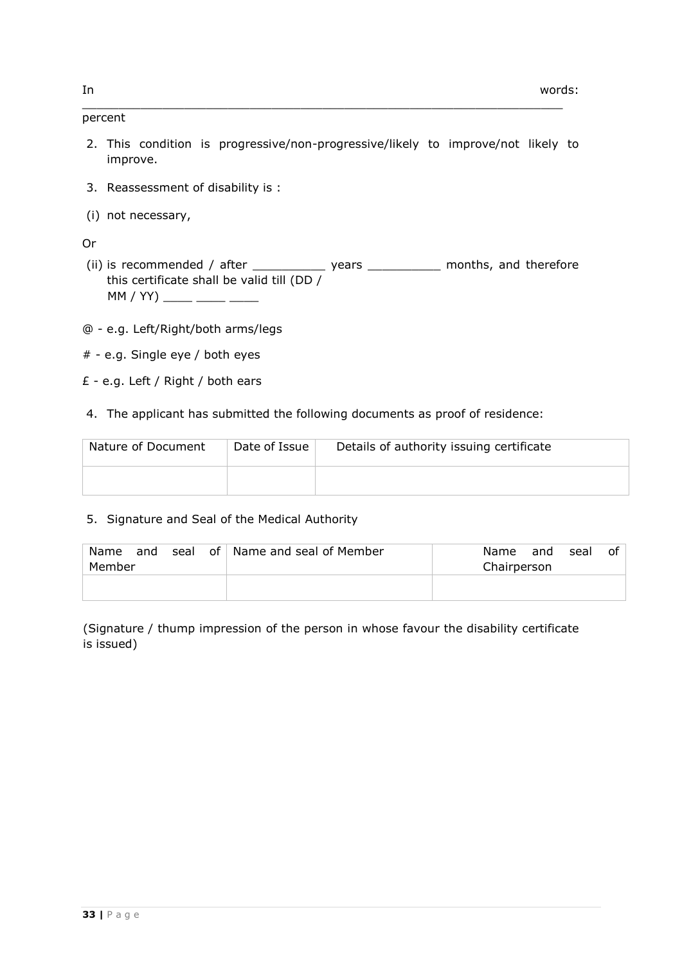#### percent

2. This condition is progressive/non-progressive/likely to improve/not likely to improve.

 $\_$  , and the set of the set of the set of the set of the set of the set of the set of the set of the set of the set of the set of the set of the set of the set of the set of the set of the set of the set of the set of th

- 3. Reassessment of disability is :
- (i) not necessary,

# Or

- (ii) is recommended / after \_\_\_\_\_\_\_\_\_\_\_\_ years \_\_\_\_\_\_\_\_\_\_\_ months, and therefore this certificate shall be valid till (DD /  $MM / YY$ ) \_\_\_\_\_ \_\_\_\_ \_\_\_
- @ e.g. Left/Right/both arms/legs
- # e.g. Single eye / both eyes
- £ e.g. Left / Right / both ears
- 4. The applicant has submitted the following documents as proof of residence:

| Nature of Document | Date of Issue | Details of authority issuing certificate |
|--------------------|---------------|------------------------------------------|
|                    |               |                                          |

### 5. Signature and Seal of the Medical Authority

| of<br>Name<br>seal<br>and<br>Member |  | Name and seal of Member | Name<br>seal<br>and<br>Chairperson | of |
|-------------------------------------|--|-------------------------|------------------------------------|----|
|                                     |  |                         |                                    |    |

(Signature / thump impression of the person in whose favour the disability certificate is issued)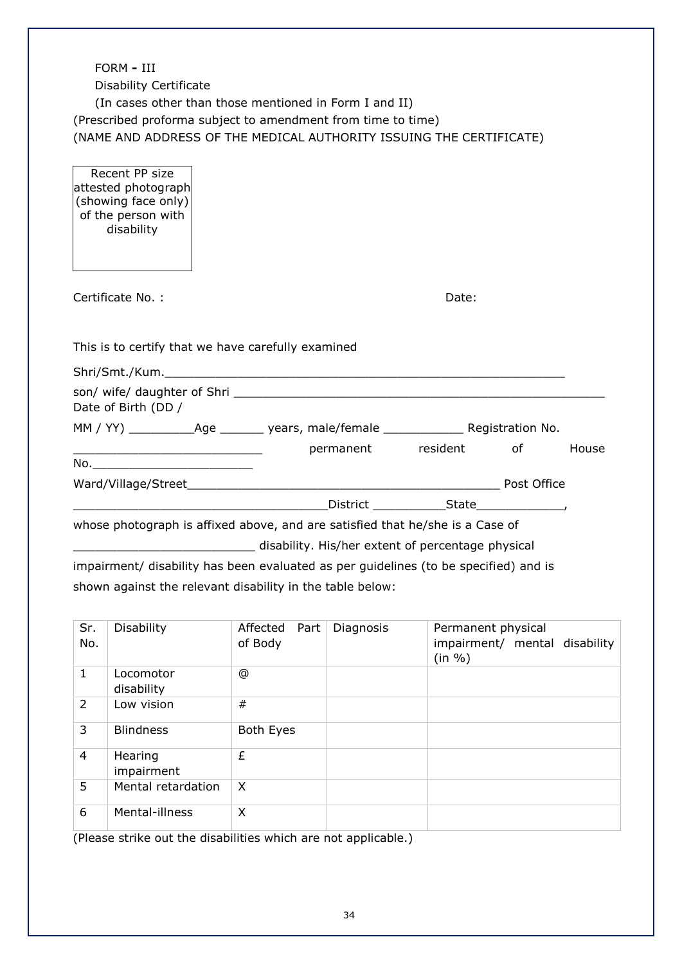| FORM - III<br><b>Disability Certificate</b><br>(In cases other than those mentioned in Form I and II)<br>(Prescribed proforma subject to amendment from time to time)<br>(NAME AND ADDRESS OF THE MEDICAL AUTHORITY ISSUING THE CERTIFICATE) |                                                   |       |  |       |
|----------------------------------------------------------------------------------------------------------------------------------------------------------------------------------------------------------------------------------------------|---------------------------------------------------|-------|--|-------|
| Recent PP size<br>attested photograph<br>(showing face only)<br>of the person with<br>disability                                                                                                                                             |                                                   |       |  |       |
| Certificate No.:                                                                                                                                                                                                                             |                                                   | Date: |  |       |
| This is to certify that we have carefully examined                                                                                                                                                                                           |                                                   |       |  |       |
|                                                                                                                                                                                                                                              |                                                   |       |  |       |
| Date of Birth (DD /                                                                                                                                                                                                                          |                                                   |       |  |       |
| MM / YY) _______________Age _________ years, male/female _______________________Registration No.                                                                                                                                             |                                                   |       |  |       |
| <u> 1989 - Johann Barnett, fransk politiker (d. 1989)</u>                                                                                                                                                                                    | permanent resident of                             |       |  | House |
|                                                                                                                                                                                                                                              |                                                   |       |  |       |
|                                                                                                                                                                                                                                              |                                                   |       |  |       |
|                                                                                                                                                                                                                                              |                                                   |       |  |       |
| whose photograph is affixed above, and are satisfied that he/she is a Case of                                                                                                                                                                |                                                   |       |  |       |
|                                                                                                                                                                                                                                              | disability. His/her extent of percentage physical |       |  |       |
| impairment/ disability has been evaluated as per guidelines (to be specified) and is                                                                                                                                                         |                                                   |       |  |       |
| shown against the relevant disability in the table below:                                                                                                                                                                                    |                                                   |       |  |       |

| Sr.<br>No. | Disability              | Affected Part<br>of Body | Diagnosis | Permanent physical<br>impairment/ mental disability<br>(in %) |
|------------|-------------------------|--------------------------|-----------|---------------------------------------------------------------|
| 1          | Locomotor<br>disability | $^{\circ}$               |           |                                                               |
| 2          | Low vision              | #                        |           |                                                               |
| 3          | <b>Blindness</b>        | Both Eyes                |           |                                                               |
| 4          | Hearing<br>impairment   | £                        |           |                                                               |
| 5          | Mental retardation      | X                        |           |                                                               |
| 6          | Mental-illness          | X                        |           |                                                               |

(Please strike out the disabilities which are not applicable.)